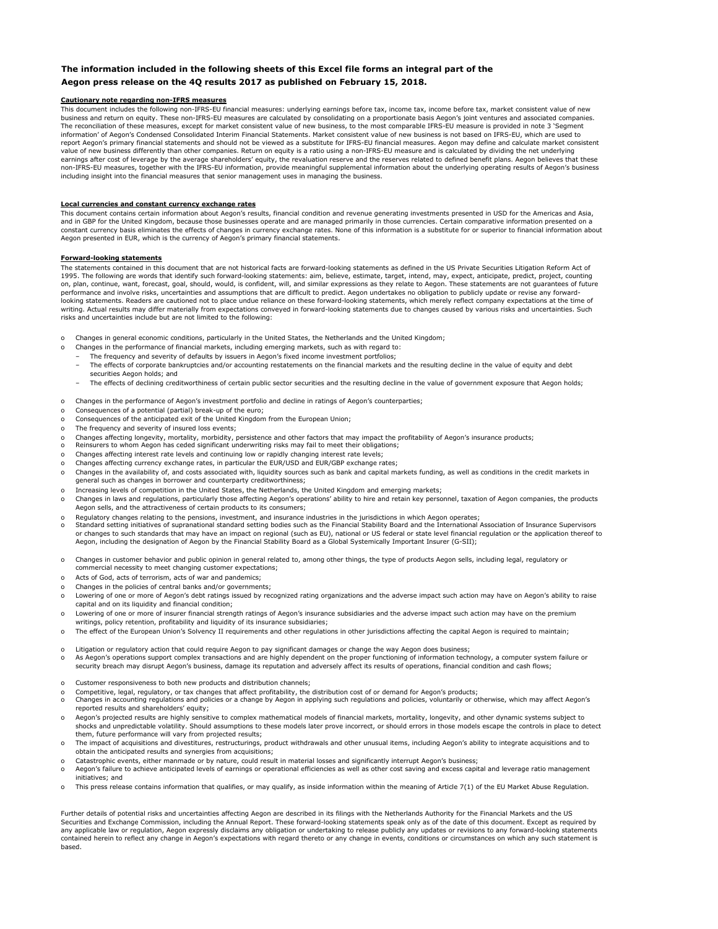### **The information included in the following sheets of this Excel file forms an integral part of the Aegon press release on the 4Q results 2017 as published on February 15, 2018.**

### **Cautionary note regarding non-IFRS measures**

This document includes the following non-IFRS-EU financial measures: underlying earnings before tax, income tax, income before tax, market consistent value of new business and return on equity. These non-IFRS-EU measures are calculated by consolidating on a proportionate basis Aegon's joint ventures and associated companies. The reconciliation of these measures, except for market consistent value of new business, to the most comparable IFRS-EU measure is provided in note 3 'Segment information' of Aegon's Condensed Consolidated Interim Financial Statements. Market consistent value of new business is not based on IFRS-EU, which are used to report Aegon's primary financial statements and should not be viewed as a substitute for IFRS-EU financial measures. Aegon may define and calculate market consistent value of new business differently than other companies. Return on equity is a ratio using a non-IFRS-EU measure and is calculated by dividing the net underlying earnings after cost of leverage by the average shareholders' equity, the revaluation reserve and the reserves related to defined benefit plans. Aegon believes that these non-IFRS-EU measures, together with the IFRS-EU information, provide meaningful supplemental information about the underlying operating results of Aegon's business including insight into the financial measures that senior management uses in managing the business.

### **Local currencies and constant currency exchange rates**

This document contains certain information about Aegon's results, financial condition and revenue generating investments presented in USD for the Americas and Asia, and in GBP for the United Kingdom, because those businesses operate and are managed primarily in those currencies. Certain comparative information presented on a<br>constant currency basis eliminates the effects of changes in Aegon presented in EUR, which is the currency of Aegon's primary financial statements.

#### **Forward-looking statements**

The statements contained in this document that are not historical facts are forward-looking statements as defined in the US Private Securities Litigation Reform Act of 1995. The following are words that identify such forward-looking statements: aim, believe, estimate, target, intend, may, expect, anticipate, predict, project, counting on, plan, continue, want, forecast, goal, should, would, is confident, will, and similar expressions as they relate to Aegon. These statements are not guarantees of future performance and involve risks, uncertainties and assumptions that are difficult to predict. Aegon undertakes no obligation to publicly update or revise any forwardlooking statements. Readers are cautioned not to place undue reliance on these forward-looking statements, which merely reflect company expectations at the time of writing. Actual results may differ materially from expectations conveyed in forward-looking statements due to changes caused by various risks and uncertainties. Such risks and uncertainties include but are not limited to the following:

- o Changes in general economic conditions, particularly in the United States, the Netherlands and the United Kingdom;
	- Changes in the performance of financial markets, including emerging markets, such as with regard to:
	- The frequency and severity of defaults by issuers in Aegon's fixed income investment portfolios;
	- The effects of corporate bankruptcies and/or accounting restatements on the financial markets and the resulting decline in the value of equity and debt securities Aegon holds; and
- The effects of declining creditworthiness of certain public sector securities and the resulting decline in the value of government exposure that Aegon holds;
- o Changes in the performance of Aegon's investment portfolio and decline in ratings of Aegon's counterparties;
- o Consequences of a potential (partial) break-up of the euro;
- o Consequences of the anticipated exit of the United Kingdom from the European Union;
- o The frequency and severity of insured loss events;
- o Changes affecting longevity, mortality, morbidity, persistence and other factors that may impact the profitability of Aegon's insurance products;
- Reinsurers to whom Aegon has ceded significant underwriting risks may fail to meet their obligations;
- o Changes affecting interest rate levels and continuing low or rapidly changing interest rate levels;
- o Changes affecting currency exchange rates, in particular the EUR/USD and EUR/GBP exchange rates;
- o Changes in the availability of, and costs associated with, liquidity sources such as bank and capital markets funding, as well as conditions in the credit markets in<br>general such as changes in borrower and counterparty cre
- o Increasing levels of competition in the United States, the Netherlands, the United Kingdom and emerging markets;
- o Changes in laws and regulations, particularly those affecting Aegon's operations' ability to hire and retain key personnel, taxation of Aegon companies, the products Aegon sells, and the attractiveness of certain products to its consumers;
- o Regulatory changes relating to the pensions, investment, and insurance industries in the jurisdictions in which Aegon operates;
- o Standard setting initiatives of supranational standard setting bodies such as the Financial Stability Board and the International Association of Insurance Supervisors<br>or changes to such standards that may have an impact on Aegon, including the designation of Aegon by the Financial Stability Board as a Global Systemically Important Insurer (G-SII);
- o Changes in customer behavior and public opinion in general related to, among other things, the type of products Aegon sells, including legal, regulatory or commercial necessity to meet changing customer expectations;
- o Acts of God, acts of terrorism, acts of war and pandemics;
- Changes in the policies of central banks and/or governments;
- o Lowering of one or more of Aegon's debt ratings issued by recognized rating organizations and the adverse impact such action may have on Aegon's ability to raise capital and on its liquidity and financial condition;
- o Lowering of one or more of insurer financial strength ratings of Aegon's insurance subsidiaries and the adverse impact such action may have on the premium writings, policy retention, profitability and liquidity of its insurance subsidiaries;
- o The effect of the European Union's Solvency II requirements and other regulations in other jurisdictions affecting the capital Aegon is required to maintain;
- o Litigation or regulatory action that could require Aegon to pay significant damages or change the way Aegon does business;<br>o As Aegon's operations support complex transactions and are highly dependent on the proper funct
- o security breach may disrupt Aegon's business, damage its reputation and adversely affect its results of operations, financial condition and cash flows;
- o Customer responsiveness to both new products and distribution channels;
- Competitive, legal, regulatory, or tax changes that affect profitability, the distribution cost of or demand for Aegon's products;
- o Changes in accounting regulations and policies or a change by Aegon in applying such regulations and policies, voluntarily or otherwise, which may affect Aegon's reported results and shareholders' equity;
- o Aegon's projected results are highly sensitive to complex mathematical models of financial markets, mortality, longevity, and other dynamic systems subject to shocks and unpredictable volatility. Should assumptions to these models later prove incorrect, or should errors in those models escape the controls in place to detect them, future performance will vary from projected results;
- o The impact of acquisitions and divestitures, restructurings, product withdrawals and other unusual items, including Aegon's ability to integrate acquisitions and to obtain the anticipated results and synergies from acquisitions;
- Catastrophic events, either manmade or by nature, could result in material losses and significantly interrupt Aegon's business;
- o Aegon's failure to achieve anticipated levels of earnings or operational efficiencies as well as other cost saving and excess capital and leverage ratio management initiatives; and
- o This press release contains information that qualifies, or may qualify, as inside information within the meaning of Article 7(1) of the EU Market Abuse Regulation.

Further details of potential risks and uncertainties affecting Aegon are described in its filings with the Netherlands Authority for the Financial Markets and the US Securities and Exchange Commission, including the Annual Report. These forward-looking statements speak only as of the date of this document. Except as required by any applicable law or regulation, Aegon expressly disclaims any obligation or undertaking to release publicly any updates or revisions to any forward-looking statements contained herein to reflect any change in Aegon's expectations with regard thereto or any change in events, conditions or circumstances on which any such statement is based.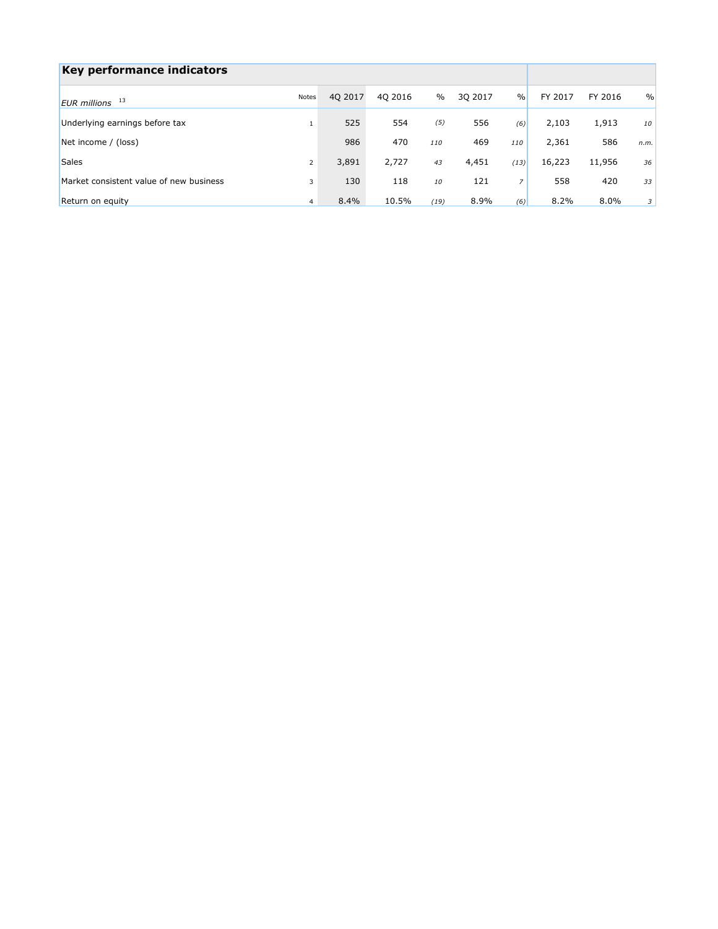| Key performance indicators              |                |         |         |      |         |               |         |         |               |
|-----------------------------------------|----------------|---------|---------|------|---------|---------------|---------|---------|---------------|
| EUR millions 13                         | Notes          | 40 2017 | 40 2016 | $\%$ | 30 2017 | $\frac{9}{0}$ | FY 2017 | FY 2016 | $\frac{0}{0}$ |
| Underlying earnings before tax          |                | 525     | 554     | (5)  | 556     | (6)           | 2,103   | 1,913   | 10            |
| Net income / (loss)                     |                | 986     | 470     | 110  | 469     | 110           | 2,361   | 586     | n.m.          |
| <b>Sales</b>                            | $\overline{2}$ | 3,891   | 2,727   | 43   | 4,451   | (13)          | 16,223  | 11,956  | 36            |
| Market consistent value of new business | 3              | 130     | 118     | 10   | 121     | 7             | 558     | 420     | 33            |
| Return on equity                        | $\overline{4}$ | 8.4%    | 10.5%   | (19) | 8.9%    | (6)           | 8.2%    | 8.0%    | 3             |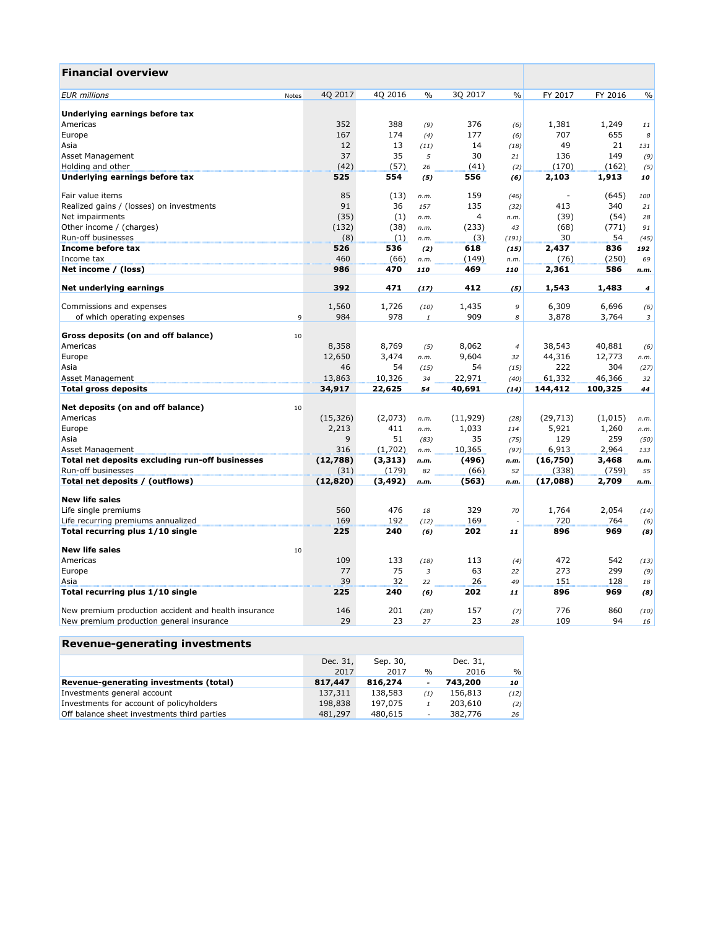| <b>Financial overview</b>                            |       |           |          |              |                |                           |           |         |               |
|------------------------------------------------------|-------|-----------|----------|--------------|----------------|---------------------------|-----------|---------|---------------|
| <b>EUR</b> millions                                  | Notes | 4Q 2017   | 4Q 2016  | $\%$         | 3Q 2017        | $\frac{0}{0}$             | FY 2017   | FY 2016 | $\frac{0}{0}$ |
| Underlying earnings before tax                       |       |           |          |              |                |                           |           |         |               |
| Americas                                             |       | 352       | 388      | (9)          | 376            | (6)                       | 1,381     | 1,249   | 11            |
| Europe                                               |       | 167       | 174      | (4)          | 177            | (6)                       | 707       | 655     | 8             |
| Asia                                                 |       | 12        | 13       | (11)         | 14             | (18)                      | 49        | 21      | 131           |
| Asset Management                                     |       | 37        | 35       | 5            | 30             | 21                        | 136       | 149     | (9)           |
| Holding and other                                    |       | (42)      | (57)     | 26           | (41)           | (2)                       | (170)     | (162)   | (5)           |
| Underlying earnings before tax                       |       | 525       | 554      | (5)          | 556            | (6)                       | 2,103     | 1,913   | 10            |
| Fair value items                                     |       | 85        | (13)     | n.m.         | 159            | (46)                      |           | (645)   | 100           |
| Realized gains / (losses) on investments             |       | 91        | 36       | 157          | 135            | (32)                      | 413       | 340     | 21            |
| Net impairments                                      |       | (35)      | (1)      | n.m.         | $\overline{4}$ | n.m.                      | (39)      | (54)    | 28            |
| Other income / (charges)                             |       | (132)     | (38)     | n.m.         | (233)          | 43                        | (68)      | (771)   | 91            |
| Run-off businesses                                   |       | (8)       | (1)      | n.m.         | (3)            | (191)                     | 30        | 54      | (45)          |
| Income before tax                                    |       | 526       | 536      | (2)          | 618            | (15)                      | 2,437     | 836     | 192           |
| Income tax                                           |       | 460       | (66)     | n.m.         | (149)          | n.m.                      | (76)      | (250)   | 69            |
| Net income / (loss)                                  |       | 986       | 470      | 110          | 469            | 110                       | 2,361     | 586     | n.m.          |
| Net underlying earnings                              |       | 392       | 471      | (17)         | 412            | (5)                       | 1,543     | 1,483   | 4             |
|                                                      |       |           |          |              |                |                           |           |         |               |
| Commissions and expenses                             |       | 1,560     | 1,726    | (10)         | 1,435          | 9                         | 6,309     | 6,696   | (6)           |
| of which operating expenses                          | 9     | 984       | 978      | $\mathbf{1}$ | 909            | 8                         | 3,878     | 3,764   | 3             |
| Gross deposits (on and off balance)                  | 10    |           |          |              |                |                           |           |         |               |
| Americas                                             |       | 8,358     | 8,769    | (5)          | 8,062          | $\ensuremath{\mathsf{4}}$ | 38,543    | 40,881  | (6)           |
| Europe                                               |       | 12,650    | 3,474    | n.m.         | 9,604          | 32                        | 44,316    | 12,773  | n.m.          |
| Asia                                                 |       | 46        | 54       | (15)         | 54             | (15)                      | 222       | 304     | (27)          |
| Asset Management                                     |       | 13,863    | 10,326   | 34           | 22,971         | (40)                      | 61,332    | 46,366  | 32            |
| <b>Total gross deposits</b>                          |       | 34,917    | 22,625   | 54           | 40,691         | (14)                      | 144,412   | 100,325 | 44            |
| Net deposits (on and off balance)                    | 10    |           |          |              |                |                           |           |         |               |
| Americas                                             |       | (15, 326) | (2,073)  | n.m.         | (11, 929)      | (28)                      | (29, 713) | (1,015) | n.m.          |
| Europe                                               |       | 2,213     | 411      | n.m.         | 1,033          | 114                       | 5,921     | 1,260   | n.m.          |
| Asia                                                 |       | 9         | 51       | (83)         | 35             | (75)                      | 129       | 259     | (50)          |
| Asset Management                                     |       | 316       | (1,702)  | n.m.         | 10,365         | (97)                      | 6,913     | 2,964   | 133           |
| Total net deposits excluding run-off businesses      |       | (12,788)  | (3,313)  | n.m.         | (496)          | n.m.                      | (16,750)  | 3,468   | n.m.          |
| Run-off businesses                                   |       | (31)      | (179)    | 82           | (66)           | 52                        | (338)     | (759)   | 55            |
| Total net deposits / (outflows)                      |       | (12, 820) | (3, 492) | n.m.         | (563)          | n.m.                      | (17,088)  | 2,709   | n.m.          |
| <b>New life sales</b>                                |       |           |          |              |                |                           |           |         |               |
| Life single premiums                                 |       | 560       | 476      | 18           | 329            | 70                        | 1,764     | 2,054   | (14)          |
| Life recurring premiums annualized                   |       | 169       | 192      | (12)         | 169            |                           | 720       | 764     | (6)           |
| Total recurring plus 1/10 single                     |       | 225       | 240      | (6)          | 202            | 11                        | 896       | 969     | (8)           |
| <b>New life sales</b>                                | 10    |           |          |              |                |                           |           |         |               |
| Americas                                             |       | 109       | 133      | (18)         | 113            | (4)                       | 472       | 542     | (13)          |
| Europe                                               |       | 77        | 75       | 3            | 63             | 22                        | 273       | 299     | (9)           |
| Asia                                                 |       | 39        | 32       | 22           | 26             | 49                        | 151       | 128     | 18            |
| Total recurring plus 1/10 single                     |       | 225       | 240      | (6)          | 202            | 11                        | 896       | 969     | (8)           |
| New premium production accident and health insurance |       | 146       | 201      | (28)         | 157            | (7)                       | 776       | 860     | (10)          |
| New premium production general insurance             |       | 29        | 23       | 27           | 23             | 28                        | 109       | 94      | 16            |

# **Revenue-generating investments**

|                                             | Dec. 31,<br>2017 | Sep. 30,<br>2017 | $\frac{0}{0}$ | Dec. 31,<br>2016 | $\frac{0}{0}$   |
|---------------------------------------------|------------------|------------------|---------------|------------------|-----------------|
| Revenue-generating investments (total)      | 817,447          | 816,274          | -             | 743,200          | 10 <sup>1</sup> |
| Investments general account                 | 137,311          | 138,583          | (1)           | 156,813          | (12)            |
| Investments for account of policyholders    | 198,838          | 197,075          |               | 203,610          | (2)             |
| Off balance sheet investments third parties | 481,297          | 480,615          | ٠             | 382,776          | 26              |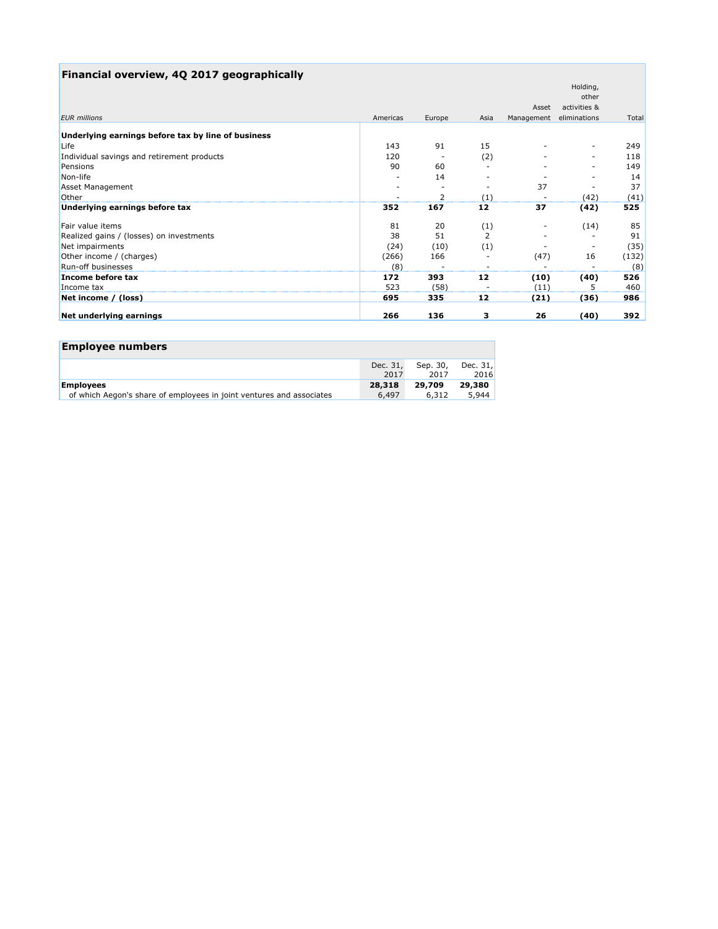| Financial overview, 4Q 2017 geographically         |          |        |      |            |              |       |
|----------------------------------------------------|----------|--------|------|------------|--------------|-------|
|                                                    |          |        |      |            | Holding,     |       |
|                                                    |          |        |      |            | other        |       |
|                                                    |          |        |      | Asset      | activities & |       |
| <b>EUR</b> millions                                | Americas | Europe | Asia | Management | eliminations | Total |
| Underlying earnings before tax by line of business |          |        |      |            |              |       |
| Life                                               | 143      | 91     | 15   |            | -            | 249   |
| Individual savings and retirement products         | 120      |        | (2)  |            | -            | 118   |
| Pensions                                           | 90       | 60     |      |            |              | 149   |
| Non-life                                           |          | 14     |      |            |              | 14    |
| <b>Asset Management</b>                            |          |        |      | 37         |              | 37    |
| Other                                              |          | 2      | (1)  |            | (42)         | (41)  |
| Underlying earnings before tax                     | 352      | 167    | 12   | 37         | (42)         | 525   |
| Fair value items                                   | 81       | 20     | (1)  |            | (14)         | 85    |
| Realized gains / (losses) on investments           | 38       | 51     | 2    |            |              | 91    |
| Net impairments                                    | (24)     | (10)   | (1)  |            |              | (35)  |
| Other income / (charges)                           | (266)    | 166    |      | (47)       | 16           | (132) |
| Run-off businesses                                 | (8)      |        |      |            |              | (8)   |
| Income before tax                                  | 172      | 393    | 12   | (10)       | (40)         | 526   |
| Income tax                                         | 523      | (58)   |      | (11)       |              | 460   |
| Net income / (loss)                                | 695      | 335    | 12   | (21)       | (36)         | 986   |
| Net underlying earnings                            | 266      | 136    | з    | 26         | (40)         | 392   |

| <b>Employee numbers</b>                                              |                  |                  |                  |
|----------------------------------------------------------------------|------------------|------------------|------------------|
|                                                                      | Dec. 31,<br>2017 | Sep. 30,<br>2017 | Dec. 31,<br>2016 |
| <b>Employees</b>                                                     | 28,318           | 29,709           | 29,380           |
| of which Aegon's share of employees in joint ventures and associates | 6,497            | 6,312            | 5.944            |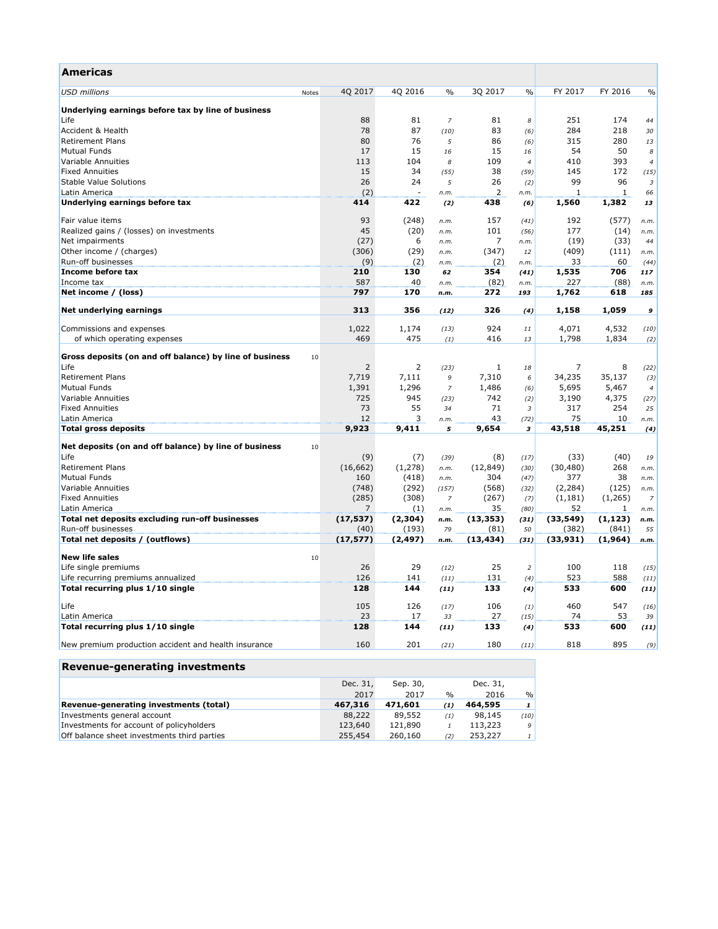| <b>Americas</b>                                               |                |          |                |           |                |             |          |                |
|---------------------------------------------------------------|----------------|----------|----------------|-----------|----------------|-------------|----------|----------------|
| <b>USD millions</b><br>Notes                                  | 4Q 2017        | 4Q 2016  | $\frac{0}{0}$  | 3Q 2017   | $\frac{0}{0}$  | FY 2017     | FY 2016  | $\frac{0}{0}$  |
| Underlying earnings before tax by line of business            |                |          |                |           |                |             |          |                |
| Life                                                          | 88             | 81       | $\overline{z}$ | 81        | 8              | 251         | 174      | 44             |
| Accident & Health                                             | 78             | 87       | (10)           | 83        | (6)            | 284         | 218      | 30             |
| <b>Retirement Plans</b>                                       | 80             | 76       | 5              | 86        | (6)            | 315         | 280      | 13             |
| <b>Mutual Funds</b>                                           | 17             | 15       | 16             | 15        | 16             | 54          | 50       | 8              |
| Variable Annuities                                            | 113            | 104      | 8              | 109       | $\overline{4}$ | 410         | 393      | $\overline{4}$ |
| <b>Fixed Annuities</b>                                        | 15             | 34       | (55)           | 38        | (59)           | 145         | 172      | (15)           |
| <b>Stable Value Solutions</b>                                 | 26             | 24       | 5              | 26        | (2)            | 99          | 96       | 3              |
| Latin America                                                 | (2)            |          | n.m.           | 2         | n.m.           | $\mathbf 1$ | 1        | 66             |
| Underlying earnings before tax                                | 414            | 422      | (2)            | 438       | (6)            | 1,560       | 1,382    | 13             |
| Fair value items                                              | 93             | (248)    | n.m.           | 157       | (41)           | 192         | (577)    | n.m.           |
| Realized gains / (losses) on investments                      | 45             | (20)     | n.m.           | 101       | (56)           | 177         | (14)     | n.m.           |
| Net impairments                                               | (27)           | 6        | n.m.           | 7         | n.m.           | (19)        | (33)     | 44             |
| Other income / (charges)                                      | (306)          | (29)     | n.m.           | (347)     | 12             | (409)       | (111)    | n.m.           |
| Run-off businesses                                            | (9)            | (2)      | n.m.           | (2)       | n.m.           | 33          | 60       | (44)           |
| Income before tax                                             | 210            | 130      | 62             | 354       | (41)           | 1,535       | 706      | 117            |
| Income tax                                                    | 587            | 40       | n.m.           | (82)      | n.m.           | 227         | (88)     | n.m.           |
| Net income / (loss)                                           | 797            | 170      | n.m.           | 272       | 193            | 1,762       | 618      | 185            |
| Net underlying earnings                                       | 313            | 356      | (12)           | 326       | (4)            | 1,158       | 1,059    | 9              |
| Commissions and expenses                                      | 1,022          | 1,174    | (13)           | 924       | 11             | 4,071       | 4,532    | (10)           |
| of which operating expenses                                   | 469            | 475      | (1)            | 416       | 13             | 1,798       | 1,834    | (2)            |
|                                                               |                |          |                |           |                |             |          |                |
| Gross deposits (on and off balance) by line of business<br>10 |                |          |                |           |                |             |          |                |
| Life                                                          | $\overline{2}$ | 2        | (23)           | 1         | 18             | 7           | 8        | (22)           |
| <b>Retirement Plans</b>                                       | 7,719          | 7,111    | 9              | 7,310     | 6              | 34,235      | 35,137   | (3)            |
| <b>Mutual Funds</b>                                           | 1,391          | 1,296    | $\overline{z}$ | 1,486     | (6)            | 5,695       | 5,467    | $\overline{4}$ |
| <b>Variable Annuities</b>                                     | 725            | 945      | (23)           | 742       | (2)            | 3,190       | 4,375    | (27)           |
| <b>Fixed Annuities</b>                                        | 73             | 55       | 34             | 71        | 3              | 317         | 254      | 25             |
| Latin America                                                 | 12             | 3        | n.m.           | 43        | (72)           | 75          | 10       | n.m.           |
| <b>Total gross deposits</b>                                   | 9,923          | 9,411    | 5              | 9,654     | з              | 43,518      | 45,251   | (4)            |
| Net deposits (on and off balance) by line of business<br>10   |                |          |                |           |                |             |          |                |
| Life                                                          | (9)            | (7)      | (39)           | (8)       | (17)           | (33)        | (40)     | 19             |
| <b>Retirement Plans</b>                                       | (16, 662)      | (1, 278) | n.m.           | (12, 849) | (30)           | (30, 480)   | 268      | n.m.           |
| <b>Mutual Funds</b>                                           | 160            | (418)    | n.m.           | 304       | (47)           | 377         | 38       | n.m.           |
| Variable Annuities                                            | (748)          | (292)    | (157)          | (568)     | (32)           | (2, 284)    | (125)    | n.m.           |
| <b>Fixed Annuities</b>                                        | (285)          | (308)    | $\overline{z}$ | (267)     | (7)            | (1, 181)    | (1, 265) | $\overline{z}$ |
| Latin America                                                 | 7              | (1)      | n.m.           | 35        | (80)           | 52          | 1        | n.m.           |
| Total net deposits excluding run-off businesses               | (17, 537)      | (2, 304) | n.m.           | (13, 353) | (31)           | (33,549)    | (1, 123) | n.m.           |
| Run-off businesses                                            | (40)           | (193)    | 79             | (81)      | 50             | (382)       | (841)    | 55             |
| Total net deposits / (outflows)                               | (17, 577)      | (2, 497) | n.m.           | (13, 434) | (31)           | (33, 931)   | (1,964)  | n.m.           |
| <b>New life sales</b><br>10                                   |                |          |                |           |                |             |          |                |
| Life single premiums                                          | 26             | 29       | (12)           | 25        | $\overline{2}$ | 100         | 118      | (15)           |
| Life recurring premiums annualized                            | 126            | 141      | (11)           | 131       | (4)            | 523         | 588      | (11)           |
| Total recurring plus 1/10 single                              | 128            | 144      | (11)           | 133       | (4)            | 533         | 600      | (11)           |
| Life                                                          | 105            | 126      | (17)           | 106       | (1)            | 460         | 547      | (16)           |
| Latin America                                                 | 23             | 17       | 33             | 27        | (15)           | 74          | 53       | 39             |
| Total recurring plus 1/10 single                              | 128            | 144      | (11)           | 133       | (4)            | 533         | 600      | (11)           |
| New premium production accident and health insurance          | 160            | 201      | (21)           | 180       | (11)           | 818         | 895      | (9)            |

# **Revenue-generating investments**

|                                             | Dec. 31, | Sep. 30, |      | Dec. 31, |                |
|---------------------------------------------|----------|----------|------|----------|----------------|
|                                             | 2017     | 2017     | $\%$ | 2016     | $\frac{9}{6}$  |
| Revenue-generating investments (total)      | 467,316  | 471,601  | (1)  | 464,595  | 1 <sup>1</sup> |
| Investments general account                 | 88,222   | 89,552   | (1)  | 98,145   | (10)           |
| Investments for account of policyholders    | 123,640  | 121,890  |      | 113,223  | 9              |
| Off balance sheet investments third parties | 255,454  | 260,160  | (2)  | 253,227  | 1 <sup>1</sup> |
|                                             |          |          |      |          |                |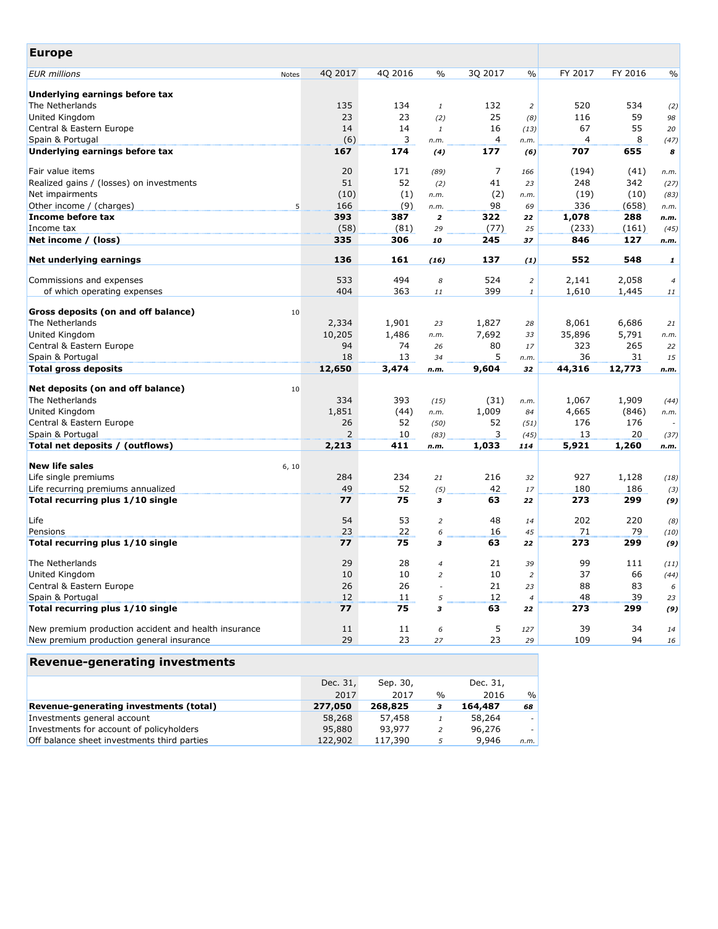| 4Q 2017<br>4Q 2016<br>3Q 2017<br>FY 2017<br>FY 2016<br><b>EUR</b> millions<br>$\frac{0}{0}$<br>$\frac{0}{0}$<br>$\%$<br>Notes<br>Underlying earnings before tax<br>520<br>534<br>The Netherlands<br>135<br>134<br>132<br>$\it 1$<br>2<br>(2)<br>23<br>23<br>25<br>116<br>59<br>United Kingdom<br>(2)<br>(8)<br>98<br>Central & Eastern Europe<br>14<br>14<br>16<br>67<br>55<br>$\it 1$<br>(13)<br>20<br>(6)<br>3<br>4<br>$\overline{\mathbf{4}}$<br>8<br>Spain & Portugal<br>(47)<br>n.m.<br>n.m.<br>707<br>Underlying earnings before tax<br>167<br>174<br>177<br>655<br>8<br>(4)<br>(6)<br>20<br>171<br>$\overline{7}$<br>Fair value items<br>(194)<br>(41)<br>(89)<br>166<br>n.m.<br>51<br>52<br>Realized gains / (losses) on investments<br>41<br>248<br>342<br>(2)<br>23<br>(27)<br>(1)<br>Net impairments<br>(10)<br>(2)<br>(19)<br>(10)<br>(83)<br>n.m.<br>n.m.<br>Other income / (charges)<br>166<br>(9)<br>98<br>336<br>(658)<br>5<br>69<br>n.m.<br>n.m.<br>Income before tax<br>393<br>387<br>322<br>1,078<br>288<br>$\overline{z}$<br>22<br>n.m.<br>Income tax<br>(58)<br>(81)<br>(77)<br>(233)<br>(161)<br>29<br>25<br>(45)<br>127<br>335<br>306<br>245<br>846<br>Net income / (loss)<br>37<br>10<br>n.m.<br>136<br>552<br>548<br>Net underlying earnings<br>161<br>137<br>(16)<br>(1)<br>1<br>Commissions and expenses<br>533<br>494<br>524<br>2,141<br>2,058<br>8<br>$\overline{2}$<br>4<br>404<br>399<br>of which operating expenses<br>363<br>1,610<br>1,445<br>11<br>$\mathbf{1}$<br>11<br>Gross deposits (on and off balance)<br>10<br>The Netherlands<br>2,334<br>1,901<br>1,827<br>8,061<br>6,686<br>23<br>28<br>21<br>10,205<br>1,486<br>7,692<br>35,896<br>5,791<br>United Kingdom<br>33<br>n.m.<br>n.m.<br>74<br>80<br>323<br>265<br>Central & Eastern Europe<br>94<br>26<br>22<br>17<br>5<br>Spain & Portugal<br>18<br>13<br>36<br>31<br>15<br>34<br>n.m.<br>9,604<br>44,316<br>12,773<br><b>Total gross deposits</b><br>12,650<br>3,474<br>32<br>n.m.<br>n.m.<br>Net deposits (on and off balance)<br>10<br>393<br>1,909<br>The Netherlands<br>334<br>(31)<br>1,067<br>(15)<br>(44)<br>n.m.<br>1,851<br>(44)<br>1,009<br>4,665<br>(846)<br>United Kingdom<br>n.m.<br>84<br>n.m.<br>26<br>52<br>52<br>176<br>176<br>Central & Eastern Europe<br>(50)<br>(51)<br>$\overline{\phantom{a}}$<br>Spain & Portugal<br>2<br>10<br>3<br>13<br>20<br>(83)<br>(45)<br>(37)<br>Total net deposits / (outflows)<br>411<br>1,033<br>5,921<br>1,260<br>2,213<br>114<br>n.m.<br>n.m.<br><b>New life sales</b><br>6, 10<br>284<br>234<br>216<br>927<br>Life single premiums<br>1,128<br>21<br>32<br>(18)<br>49<br>52<br>42<br>Life recurring premiums annualized<br>180<br>186<br>(5)<br>17<br>Total recurring plus 1/10 single<br>77<br>75<br>63<br>273<br>299<br>3<br>22<br>54<br>Life<br>53<br>48<br>202<br>220<br>$\overline{2}$<br>14<br>23<br>22<br>16<br>79<br>Pensions<br>71<br>6<br>45<br>(10)<br>75<br>299<br>Total recurring plus 1/10 single<br>77<br>63<br>273<br>3<br>22<br>The Netherlands<br>29<br>28<br>21<br>99<br>111<br>$\overline{4}$<br>39<br>(11)<br>10<br>37<br>10<br>10<br>66<br>United Kingdom<br>$\overline{2}$<br>$\overline{2}$<br>(44)<br>26<br>21<br>88<br>Central & Eastern Europe<br>26<br>83<br>23<br>6<br>$\overline{a}$<br>Spain & Portugal<br>12<br>12<br>48<br>39<br>11<br>$\overline{4}$<br>5<br>23<br>Total recurring plus 1/10 single<br>77<br>75<br>63<br>273<br>299<br>3<br>22<br>(9)<br>5<br>New premium production accident and health insurance<br>11<br>39<br>34<br>11<br>6<br>127<br>14<br>29<br>23<br>23<br>109<br>94<br>New premium production general insurance<br>27<br>29<br>16 | <b>Europe</b> |  |  |  |  |  |
|----------------------------------------------------------------------------------------------------------------------------------------------------------------------------------------------------------------------------------------------------------------------------------------------------------------------------------------------------------------------------------------------------------------------------------------------------------------------------------------------------------------------------------------------------------------------------------------------------------------------------------------------------------------------------------------------------------------------------------------------------------------------------------------------------------------------------------------------------------------------------------------------------------------------------------------------------------------------------------------------------------------------------------------------------------------------------------------------------------------------------------------------------------------------------------------------------------------------------------------------------------------------------------------------------------------------------------------------------------------------------------------------------------------------------------------------------------------------------------------------------------------------------------------------------------------------------------------------------------------------------------------------------------------------------------------------------------------------------------------------------------------------------------------------------------------------------------------------------------------------------------------------------------------------------------------------------------------------------------------------------------------------------------------------------------------------------------------------------------------------------------------------------------------------------------------------------------------------------------------------------------------------------------------------------------------------------------------------------------------------------------------------------------------------------------------------------------------------------------------------------------------------------------------------------------------------------------------------------------------------------------------------------------------------------------------------------------------------------------------------------------------------------------------------------------------------------------------------------------------------------------------------------------------------------------------------------------------------------------------------------------------------------------------------------------------------------------------------------------------------------------------------------------------------------------------------------------------------------------------------------------------------------------------------------------------------------------------------------------------------------------------------------------------------------------------------------------------------------------------------------------------------------------------------------------------------------------------------------------------------------------------------|---------------|--|--|--|--|--|
| (3)<br>(9)<br>(8)<br>(9)                                                                                                                                                                                                                                                                                                                                                                                                                                                                                                                                                                                                                                                                                                                                                                                                                                                                                                                                                                                                                                                                                                                                                                                                                                                                                                                                                                                                                                                                                                                                                                                                                                                                                                                                                                                                                                                                                                                                                                                                                                                                                                                                                                                                                                                                                                                                                                                                                                                                                                                                                                                                                                                                                                                                                                                                                                                                                                                                                                                                                                                                                                                                                                                                                                                                                                                                                                                                                                                                                                                                                                                                                     |               |  |  |  |  |  |
|                                                                                                                                                                                                                                                                                                                                                                                                                                                                                                                                                                                                                                                                                                                                                                                                                                                                                                                                                                                                                                                                                                                                                                                                                                                                                                                                                                                                                                                                                                                                                                                                                                                                                                                                                                                                                                                                                                                                                                                                                                                                                                                                                                                                                                                                                                                                                                                                                                                                                                                                                                                                                                                                                                                                                                                                                                                                                                                                                                                                                                                                                                                                                                                                                                                                                                                                                                                                                                                                                                                                                                                                                                              |               |  |  |  |  |  |
|                                                                                                                                                                                                                                                                                                                                                                                                                                                                                                                                                                                                                                                                                                                                                                                                                                                                                                                                                                                                                                                                                                                                                                                                                                                                                                                                                                                                                                                                                                                                                                                                                                                                                                                                                                                                                                                                                                                                                                                                                                                                                                                                                                                                                                                                                                                                                                                                                                                                                                                                                                                                                                                                                                                                                                                                                                                                                                                                                                                                                                                                                                                                                                                                                                                                                                                                                                                                                                                                                                                                                                                                                                              |               |  |  |  |  |  |
|                                                                                                                                                                                                                                                                                                                                                                                                                                                                                                                                                                                                                                                                                                                                                                                                                                                                                                                                                                                                                                                                                                                                                                                                                                                                                                                                                                                                                                                                                                                                                                                                                                                                                                                                                                                                                                                                                                                                                                                                                                                                                                                                                                                                                                                                                                                                                                                                                                                                                                                                                                                                                                                                                                                                                                                                                                                                                                                                                                                                                                                                                                                                                                                                                                                                                                                                                                                                                                                                                                                                                                                                                                              |               |  |  |  |  |  |
|                                                                                                                                                                                                                                                                                                                                                                                                                                                                                                                                                                                                                                                                                                                                                                                                                                                                                                                                                                                                                                                                                                                                                                                                                                                                                                                                                                                                                                                                                                                                                                                                                                                                                                                                                                                                                                                                                                                                                                                                                                                                                                                                                                                                                                                                                                                                                                                                                                                                                                                                                                                                                                                                                                                                                                                                                                                                                                                                                                                                                                                                                                                                                                                                                                                                                                                                                                                                                                                                                                                                                                                                                                              |               |  |  |  |  |  |
|                                                                                                                                                                                                                                                                                                                                                                                                                                                                                                                                                                                                                                                                                                                                                                                                                                                                                                                                                                                                                                                                                                                                                                                                                                                                                                                                                                                                                                                                                                                                                                                                                                                                                                                                                                                                                                                                                                                                                                                                                                                                                                                                                                                                                                                                                                                                                                                                                                                                                                                                                                                                                                                                                                                                                                                                                                                                                                                                                                                                                                                                                                                                                                                                                                                                                                                                                                                                                                                                                                                                                                                                                                              |               |  |  |  |  |  |
|                                                                                                                                                                                                                                                                                                                                                                                                                                                                                                                                                                                                                                                                                                                                                                                                                                                                                                                                                                                                                                                                                                                                                                                                                                                                                                                                                                                                                                                                                                                                                                                                                                                                                                                                                                                                                                                                                                                                                                                                                                                                                                                                                                                                                                                                                                                                                                                                                                                                                                                                                                                                                                                                                                                                                                                                                                                                                                                                                                                                                                                                                                                                                                                                                                                                                                                                                                                                                                                                                                                                                                                                                                              |               |  |  |  |  |  |
|                                                                                                                                                                                                                                                                                                                                                                                                                                                                                                                                                                                                                                                                                                                                                                                                                                                                                                                                                                                                                                                                                                                                                                                                                                                                                                                                                                                                                                                                                                                                                                                                                                                                                                                                                                                                                                                                                                                                                                                                                                                                                                                                                                                                                                                                                                                                                                                                                                                                                                                                                                                                                                                                                                                                                                                                                                                                                                                                                                                                                                                                                                                                                                                                                                                                                                                                                                                                                                                                                                                                                                                                                                              |               |  |  |  |  |  |
|                                                                                                                                                                                                                                                                                                                                                                                                                                                                                                                                                                                                                                                                                                                                                                                                                                                                                                                                                                                                                                                                                                                                                                                                                                                                                                                                                                                                                                                                                                                                                                                                                                                                                                                                                                                                                                                                                                                                                                                                                                                                                                                                                                                                                                                                                                                                                                                                                                                                                                                                                                                                                                                                                                                                                                                                                                                                                                                                                                                                                                                                                                                                                                                                                                                                                                                                                                                                                                                                                                                                                                                                                                              |               |  |  |  |  |  |
|                                                                                                                                                                                                                                                                                                                                                                                                                                                                                                                                                                                                                                                                                                                                                                                                                                                                                                                                                                                                                                                                                                                                                                                                                                                                                                                                                                                                                                                                                                                                                                                                                                                                                                                                                                                                                                                                                                                                                                                                                                                                                                                                                                                                                                                                                                                                                                                                                                                                                                                                                                                                                                                                                                                                                                                                                                                                                                                                                                                                                                                                                                                                                                                                                                                                                                                                                                                                                                                                                                                                                                                                                                              |               |  |  |  |  |  |
|                                                                                                                                                                                                                                                                                                                                                                                                                                                                                                                                                                                                                                                                                                                                                                                                                                                                                                                                                                                                                                                                                                                                                                                                                                                                                                                                                                                                                                                                                                                                                                                                                                                                                                                                                                                                                                                                                                                                                                                                                                                                                                                                                                                                                                                                                                                                                                                                                                                                                                                                                                                                                                                                                                                                                                                                                                                                                                                                                                                                                                                                                                                                                                                                                                                                                                                                                                                                                                                                                                                                                                                                                                              |               |  |  |  |  |  |
|                                                                                                                                                                                                                                                                                                                                                                                                                                                                                                                                                                                                                                                                                                                                                                                                                                                                                                                                                                                                                                                                                                                                                                                                                                                                                                                                                                                                                                                                                                                                                                                                                                                                                                                                                                                                                                                                                                                                                                                                                                                                                                                                                                                                                                                                                                                                                                                                                                                                                                                                                                                                                                                                                                                                                                                                                                                                                                                                                                                                                                                                                                                                                                                                                                                                                                                                                                                                                                                                                                                                                                                                                                              |               |  |  |  |  |  |
|                                                                                                                                                                                                                                                                                                                                                                                                                                                                                                                                                                                                                                                                                                                                                                                                                                                                                                                                                                                                                                                                                                                                                                                                                                                                                                                                                                                                                                                                                                                                                                                                                                                                                                                                                                                                                                                                                                                                                                                                                                                                                                                                                                                                                                                                                                                                                                                                                                                                                                                                                                                                                                                                                                                                                                                                                                                                                                                                                                                                                                                                                                                                                                                                                                                                                                                                                                                                                                                                                                                                                                                                                                              |               |  |  |  |  |  |
|                                                                                                                                                                                                                                                                                                                                                                                                                                                                                                                                                                                                                                                                                                                                                                                                                                                                                                                                                                                                                                                                                                                                                                                                                                                                                                                                                                                                                                                                                                                                                                                                                                                                                                                                                                                                                                                                                                                                                                                                                                                                                                                                                                                                                                                                                                                                                                                                                                                                                                                                                                                                                                                                                                                                                                                                                                                                                                                                                                                                                                                                                                                                                                                                                                                                                                                                                                                                                                                                                                                                                                                                                                              |               |  |  |  |  |  |
|                                                                                                                                                                                                                                                                                                                                                                                                                                                                                                                                                                                                                                                                                                                                                                                                                                                                                                                                                                                                                                                                                                                                                                                                                                                                                                                                                                                                                                                                                                                                                                                                                                                                                                                                                                                                                                                                                                                                                                                                                                                                                                                                                                                                                                                                                                                                                                                                                                                                                                                                                                                                                                                                                                                                                                                                                                                                                                                                                                                                                                                                                                                                                                                                                                                                                                                                                                                                                                                                                                                                                                                                                                              |               |  |  |  |  |  |
|                                                                                                                                                                                                                                                                                                                                                                                                                                                                                                                                                                                                                                                                                                                                                                                                                                                                                                                                                                                                                                                                                                                                                                                                                                                                                                                                                                                                                                                                                                                                                                                                                                                                                                                                                                                                                                                                                                                                                                                                                                                                                                                                                                                                                                                                                                                                                                                                                                                                                                                                                                                                                                                                                                                                                                                                                                                                                                                                                                                                                                                                                                                                                                                                                                                                                                                                                                                                                                                                                                                                                                                                                                              |               |  |  |  |  |  |
|                                                                                                                                                                                                                                                                                                                                                                                                                                                                                                                                                                                                                                                                                                                                                                                                                                                                                                                                                                                                                                                                                                                                                                                                                                                                                                                                                                                                                                                                                                                                                                                                                                                                                                                                                                                                                                                                                                                                                                                                                                                                                                                                                                                                                                                                                                                                                                                                                                                                                                                                                                                                                                                                                                                                                                                                                                                                                                                                                                                                                                                                                                                                                                                                                                                                                                                                                                                                                                                                                                                                                                                                                                              |               |  |  |  |  |  |
|                                                                                                                                                                                                                                                                                                                                                                                                                                                                                                                                                                                                                                                                                                                                                                                                                                                                                                                                                                                                                                                                                                                                                                                                                                                                                                                                                                                                                                                                                                                                                                                                                                                                                                                                                                                                                                                                                                                                                                                                                                                                                                                                                                                                                                                                                                                                                                                                                                                                                                                                                                                                                                                                                                                                                                                                                                                                                                                                                                                                                                                                                                                                                                                                                                                                                                                                                                                                                                                                                                                                                                                                                                              |               |  |  |  |  |  |
|                                                                                                                                                                                                                                                                                                                                                                                                                                                                                                                                                                                                                                                                                                                                                                                                                                                                                                                                                                                                                                                                                                                                                                                                                                                                                                                                                                                                                                                                                                                                                                                                                                                                                                                                                                                                                                                                                                                                                                                                                                                                                                                                                                                                                                                                                                                                                                                                                                                                                                                                                                                                                                                                                                                                                                                                                                                                                                                                                                                                                                                                                                                                                                                                                                                                                                                                                                                                                                                                                                                                                                                                                                              |               |  |  |  |  |  |
|                                                                                                                                                                                                                                                                                                                                                                                                                                                                                                                                                                                                                                                                                                                                                                                                                                                                                                                                                                                                                                                                                                                                                                                                                                                                                                                                                                                                                                                                                                                                                                                                                                                                                                                                                                                                                                                                                                                                                                                                                                                                                                                                                                                                                                                                                                                                                                                                                                                                                                                                                                                                                                                                                                                                                                                                                                                                                                                                                                                                                                                                                                                                                                                                                                                                                                                                                                                                                                                                                                                                                                                                                                              |               |  |  |  |  |  |
|                                                                                                                                                                                                                                                                                                                                                                                                                                                                                                                                                                                                                                                                                                                                                                                                                                                                                                                                                                                                                                                                                                                                                                                                                                                                                                                                                                                                                                                                                                                                                                                                                                                                                                                                                                                                                                                                                                                                                                                                                                                                                                                                                                                                                                                                                                                                                                                                                                                                                                                                                                                                                                                                                                                                                                                                                                                                                                                                                                                                                                                                                                                                                                                                                                                                                                                                                                                                                                                                                                                                                                                                                                              |               |  |  |  |  |  |
|                                                                                                                                                                                                                                                                                                                                                                                                                                                                                                                                                                                                                                                                                                                                                                                                                                                                                                                                                                                                                                                                                                                                                                                                                                                                                                                                                                                                                                                                                                                                                                                                                                                                                                                                                                                                                                                                                                                                                                                                                                                                                                                                                                                                                                                                                                                                                                                                                                                                                                                                                                                                                                                                                                                                                                                                                                                                                                                                                                                                                                                                                                                                                                                                                                                                                                                                                                                                                                                                                                                                                                                                                                              |               |  |  |  |  |  |
|                                                                                                                                                                                                                                                                                                                                                                                                                                                                                                                                                                                                                                                                                                                                                                                                                                                                                                                                                                                                                                                                                                                                                                                                                                                                                                                                                                                                                                                                                                                                                                                                                                                                                                                                                                                                                                                                                                                                                                                                                                                                                                                                                                                                                                                                                                                                                                                                                                                                                                                                                                                                                                                                                                                                                                                                                                                                                                                                                                                                                                                                                                                                                                                                                                                                                                                                                                                                                                                                                                                                                                                                                                              |               |  |  |  |  |  |
|                                                                                                                                                                                                                                                                                                                                                                                                                                                                                                                                                                                                                                                                                                                                                                                                                                                                                                                                                                                                                                                                                                                                                                                                                                                                                                                                                                                                                                                                                                                                                                                                                                                                                                                                                                                                                                                                                                                                                                                                                                                                                                                                                                                                                                                                                                                                                                                                                                                                                                                                                                                                                                                                                                                                                                                                                                                                                                                                                                                                                                                                                                                                                                                                                                                                                                                                                                                                                                                                                                                                                                                                                                              |               |  |  |  |  |  |
|                                                                                                                                                                                                                                                                                                                                                                                                                                                                                                                                                                                                                                                                                                                                                                                                                                                                                                                                                                                                                                                                                                                                                                                                                                                                                                                                                                                                                                                                                                                                                                                                                                                                                                                                                                                                                                                                                                                                                                                                                                                                                                                                                                                                                                                                                                                                                                                                                                                                                                                                                                                                                                                                                                                                                                                                                                                                                                                                                                                                                                                                                                                                                                                                                                                                                                                                                                                                                                                                                                                                                                                                                                              |               |  |  |  |  |  |
|                                                                                                                                                                                                                                                                                                                                                                                                                                                                                                                                                                                                                                                                                                                                                                                                                                                                                                                                                                                                                                                                                                                                                                                                                                                                                                                                                                                                                                                                                                                                                                                                                                                                                                                                                                                                                                                                                                                                                                                                                                                                                                                                                                                                                                                                                                                                                                                                                                                                                                                                                                                                                                                                                                                                                                                                                                                                                                                                                                                                                                                                                                                                                                                                                                                                                                                                                                                                                                                                                                                                                                                                                                              |               |  |  |  |  |  |
|                                                                                                                                                                                                                                                                                                                                                                                                                                                                                                                                                                                                                                                                                                                                                                                                                                                                                                                                                                                                                                                                                                                                                                                                                                                                                                                                                                                                                                                                                                                                                                                                                                                                                                                                                                                                                                                                                                                                                                                                                                                                                                                                                                                                                                                                                                                                                                                                                                                                                                                                                                                                                                                                                                                                                                                                                                                                                                                                                                                                                                                                                                                                                                                                                                                                                                                                                                                                                                                                                                                                                                                                                                              |               |  |  |  |  |  |
|                                                                                                                                                                                                                                                                                                                                                                                                                                                                                                                                                                                                                                                                                                                                                                                                                                                                                                                                                                                                                                                                                                                                                                                                                                                                                                                                                                                                                                                                                                                                                                                                                                                                                                                                                                                                                                                                                                                                                                                                                                                                                                                                                                                                                                                                                                                                                                                                                                                                                                                                                                                                                                                                                                                                                                                                                                                                                                                                                                                                                                                                                                                                                                                                                                                                                                                                                                                                                                                                                                                                                                                                                                              |               |  |  |  |  |  |
|                                                                                                                                                                                                                                                                                                                                                                                                                                                                                                                                                                                                                                                                                                                                                                                                                                                                                                                                                                                                                                                                                                                                                                                                                                                                                                                                                                                                                                                                                                                                                                                                                                                                                                                                                                                                                                                                                                                                                                                                                                                                                                                                                                                                                                                                                                                                                                                                                                                                                                                                                                                                                                                                                                                                                                                                                                                                                                                                                                                                                                                                                                                                                                                                                                                                                                                                                                                                                                                                                                                                                                                                                                              |               |  |  |  |  |  |
|                                                                                                                                                                                                                                                                                                                                                                                                                                                                                                                                                                                                                                                                                                                                                                                                                                                                                                                                                                                                                                                                                                                                                                                                                                                                                                                                                                                                                                                                                                                                                                                                                                                                                                                                                                                                                                                                                                                                                                                                                                                                                                                                                                                                                                                                                                                                                                                                                                                                                                                                                                                                                                                                                                                                                                                                                                                                                                                                                                                                                                                                                                                                                                                                                                                                                                                                                                                                                                                                                                                                                                                                                                              |               |  |  |  |  |  |
|                                                                                                                                                                                                                                                                                                                                                                                                                                                                                                                                                                                                                                                                                                                                                                                                                                                                                                                                                                                                                                                                                                                                                                                                                                                                                                                                                                                                                                                                                                                                                                                                                                                                                                                                                                                                                                                                                                                                                                                                                                                                                                                                                                                                                                                                                                                                                                                                                                                                                                                                                                                                                                                                                                                                                                                                                                                                                                                                                                                                                                                                                                                                                                                                                                                                                                                                                                                                                                                                                                                                                                                                                                              |               |  |  |  |  |  |
|                                                                                                                                                                                                                                                                                                                                                                                                                                                                                                                                                                                                                                                                                                                                                                                                                                                                                                                                                                                                                                                                                                                                                                                                                                                                                                                                                                                                                                                                                                                                                                                                                                                                                                                                                                                                                                                                                                                                                                                                                                                                                                                                                                                                                                                                                                                                                                                                                                                                                                                                                                                                                                                                                                                                                                                                                                                                                                                                                                                                                                                                                                                                                                                                                                                                                                                                                                                                                                                                                                                                                                                                                                              |               |  |  |  |  |  |
|                                                                                                                                                                                                                                                                                                                                                                                                                                                                                                                                                                                                                                                                                                                                                                                                                                                                                                                                                                                                                                                                                                                                                                                                                                                                                                                                                                                                                                                                                                                                                                                                                                                                                                                                                                                                                                                                                                                                                                                                                                                                                                                                                                                                                                                                                                                                                                                                                                                                                                                                                                                                                                                                                                                                                                                                                                                                                                                                                                                                                                                                                                                                                                                                                                                                                                                                                                                                                                                                                                                                                                                                                                              |               |  |  |  |  |  |
|                                                                                                                                                                                                                                                                                                                                                                                                                                                                                                                                                                                                                                                                                                                                                                                                                                                                                                                                                                                                                                                                                                                                                                                                                                                                                                                                                                                                                                                                                                                                                                                                                                                                                                                                                                                                                                                                                                                                                                                                                                                                                                                                                                                                                                                                                                                                                                                                                                                                                                                                                                                                                                                                                                                                                                                                                                                                                                                                                                                                                                                                                                                                                                                                                                                                                                                                                                                                                                                                                                                                                                                                                                              |               |  |  |  |  |  |
|                                                                                                                                                                                                                                                                                                                                                                                                                                                                                                                                                                                                                                                                                                                                                                                                                                                                                                                                                                                                                                                                                                                                                                                                                                                                                                                                                                                                                                                                                                                                                                                                                                                                                                                                                                                                                                                                                                                                                                                                                                                                                                                                                                                                                                                                                                                                                                                                                                                                                                                                                                                                                                                                                                                                                                                                                                                                                                                                                                                                                                                                                                                                                                                                                                                                                                                                                                                                                                                                                                                                                                                                                                              |               |  |  |  |  |  |
|                                                                                                                                                                                                                                                                                                                                                                                                                                                                                                                                                                                                                                                                                                                                                                                                                                                                                                                                                                                                                                                                                                                                                                                                                                                                                                                                                                                                                                                                                                                                                                                                                                                                                                                                                                                                                                                                                                                                                                                                                                                                                                                                                                                                                                                                                                                                                                                                                                                                                                                                                                                                                                                                                                                                                                                                                                                                                                                                                                                                                                                                                                                                                                                                                                                                                                                                                                                                                                                                                                                                                                                                                                              |               |  |  |  |  |  |
|                                                                                                                                                                                                                                                                                                                                                                                                                                                                                                                                                                                                                                                                                                                                                                                                                                                                                                                                                                                                                                                                                                                                                                                                                                                                                                                                                                                                                                                                                                                                                                                                                                                                                                                                                                                                                                                                                                                                                                                                                                                                                                                                                                                                                                                                                                                                                                                                                                                                                                                                                                                                                                                                                                                                                                                                                                                                                                                                                                                                                                                                                                                                                                                                                                                                                                                                                                                                                                                                                                                                                                                                                                              |               |  |  |  |  |  |
|                                                                                                                                                                                                                                                                                                                                                                                                                                                                                                                                                                                                                                                                                                                                                                                                                                                                                                                                                                                                                                                                                                                                                                                                                                                                                                                                                                                                                                                                                                                                                                                                                                                                                                                                                                                                                                                                                                                                                                                                                                                                                                                                                                                                                                                                                                                                                                                                                                                                                                                                                                                                                                                                                                                                                                                                                                                                                                                                                                                                                                                                                                                                                                                                                                                                                                                                                                                                                                                                                                                                                                                                                                              |               |  |  |  |  |  |
|                                                                                                                                                                                                                                                                                                                                                                                                                                                                                                                                                                                                                                                                                                                                                                                                                                                                                                                                                                                                                                                                                                                                                                                                                                                                                                                                                                                                                                                                                                                                                                                                                                                                                                                                                                                                                                                                                                                                                                                                                                                                                                                                                                                                                                                                                                                                                                                                                                                                                                                                                                                                                                                                                                                                                                                                                                                                                                                                                                                                                                                                                                                                                                                                                                                                                                                                                                                                                                                                                                                                                                                                                                              |               |  |  |  |  |  |
|                                                                                                                                                                                                                                                                                                                                                                                                                                                                                                                                                                                                                                                                                                                                                                                                                                                                                                                                                                                                                                                                                                                                                                                                                                                                                                                                                                                                                                                                                                                                                                                                                                                                                                                                                                                                                                                                                                                                                                                                                                                                                                                                                                                                                                                                                                                                                                                                                                                                                                                                                                                                                                                                                                                                                                                                                                                                                                                                                                                                                                                                                                                                                                                                                                                                                                                                                                                                                                                                                                                                                                                                                                              |               |  |  |  |  |  |
|                                                                                                                                                                                                                                                                                                                                                                                                                                                                                                                                                                                                                                                                                                                                                                                                                                                                                                                                                                                                                                                                                                                                                                                                                                                                                                                                                                                                                                                                                                                                                                                                                                                                                                                                                                                                                                                                                                                                                                                                                                                                                                                                                                                                                                                                                                                                                                                                                                                                                                                                                                                                                                                                                                                                                                                                                                                                                                                                                                                                                                                                                                                                                                                                                                                                                                                                                                                                                                                                                                                                                                                                                                              |               |  |  |  |  |  |
|                                                                                                                                                                                                                                                                                                                                                                                                                                                                                                                                                                                                                                                                                                                                                                                                                                                                                                                                                                                                                                                                                                                                                                                                                                                                                                                                                                                                                                                                                                                                                                                                                                                                                                                                                                                                                                                                                                                                                                                                                                                                                                                                                                                                                                                                                                                                                                                                                                                                                                                                                                                                                                                                                                                                                                                                                                                                                                                                                                                                                                                                                                                                                                                                                                                                                                                                                                                                                                                                                                                                                                                                                                              |               |  |  |  |  |  |
|                                                                                                                                                                                                                                                                                                                                                                                                                                                                                                                                                                                                                                                                                                                                                                                                                                                                                                                                                                                                                                                                                                                                                                                                                                                                                                                                                                                                                                                                                                                                                                                                                                                                                                                                                                                                                                                                                                                                                                                                                                                                                                                                                                                                                                                                                                                                                                                                                                                                                                                                                                                                                                                                                                                                                                                                                                                                                                                                                                                                                                                                                                                                                                                                                                                                                                                                                                                                                                                                                                                                                                                                                                              |               |  |  |  |  |  |

# **Revenue-generating investments**

|                                             | Dec. 31, | Sep. 30, |               | Dec. 31, |               |
|---------------------------------------------|----------|----------|---------------|----------|---------------|
|                                             | 2017     | 2017     | $\frac{0}{0}$ | 2016     | $\frac{9}{6}$ |
| Revenue-generating investments (total)      | 277,050  | 268,825  | з             | 164,487  | 68            |
| Investments general account                 | 58,268   | 57,458   |               | 58,264   |               |
| Investments for account of policyholders    | 95,880   | 93,977   | 2             | 96,276   |               |
| Off balance sheet investments third parties | 122,902  | 117,390  |               | 9,946    | n.m.          |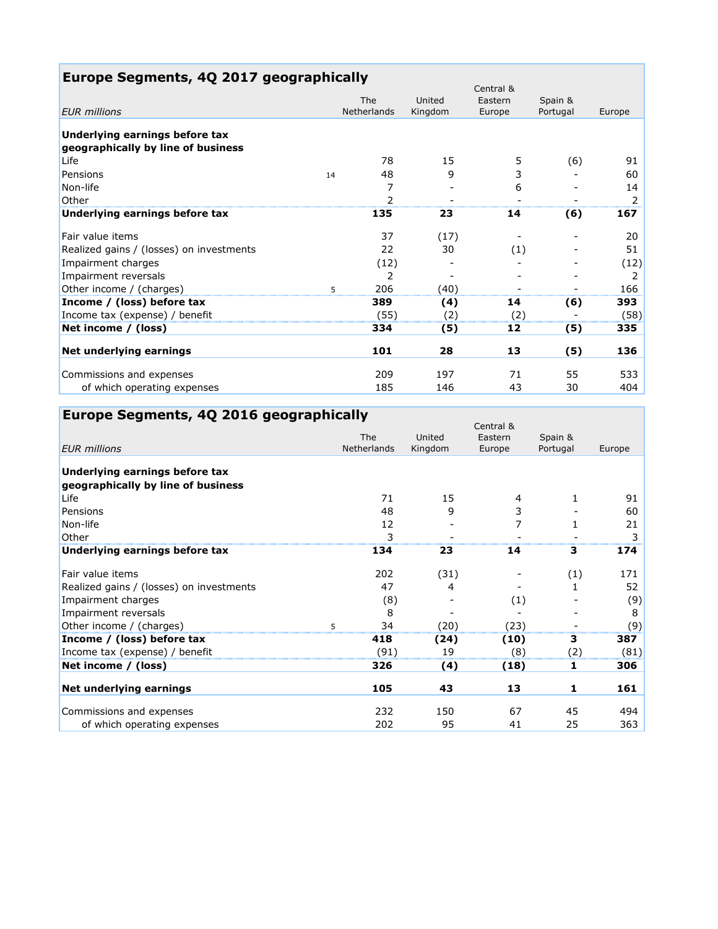| Europe Segments, 4Q 2017 geographically  |    |                    |                   |                   |                     |        |  |  |  |  |  |
|------------------------------------------|----|--------------------|-------------------|-------------------|---------------------|--------|--|--|--|--|--|
|                                          |    |                    |                   | Central &         |                     |        |  |  |  |  |  |
| <b>EUR</b> millions                      |    | The<br>Netherlands | United<br>Kingdom | Eastern<br>Europe | Spain &<br>Portugal | Europe |  |  |  |  |  |
|                                          |    |                    |                   |                   |                     |        |  |  |  |  |  |
| Underlying earnings before tax           |    |                    |                   |                   |                     |        |  |  |  |  |  |
| geographically by line of business       |    |                    |                   |                   |                     |        |  |  |  |  |  |
| Life                                     |    | 78                 | 15                | 5                 | (6)                 | 91     |  |  |  |  |  |
| Pensions                                 | 14 | 48                 | 9                 | 3                 |                     | 60     |  |  |  |  |  |
| Non-life                                 |    | 7                  |                   | 6                 |                     | 14     |  |  |  |  |  |
| Other                                    |    | $\overline{2}$     |                   |                   |                     | 2      |  |  |  |  |  |
| Underlying earnings before tax           |    | 135                | 23                | 14                | (6)                 | 167    |  |  |  |  |  |
| Fair value items                         |    | 37                 | (17)              |                   |                     | 20     |  |  |  |  |  |
| Realized gains / (losses) on investments |    | 22                 | 30                | (1)               |                     | 51     |  |  |  |  |  |
| Impairment charges                       |    | (12)               |                   |                   |                     | (12)   |  |  |  |  |  |
| Impairment reversals                     |    | 2                  |                   |                   |                     | 2      |  |  |  |  |  |
| Other income / (charges)                 | 5  | 206                | (40)              |                   |                     | 166    |  |  |  |  |  |
| Income / (loss) before tax               |    | 389                | (4)               | 14                | (6)                 | 393    |  |  |  |  |  |
| Income tax (expense) / benefit           |    | (55)               | (2)               | (2)               |                     | (58)   |  |  |  |  |  |
| Net income / (loss)                      |    | 334                | (5)               | 12                | (5)                 | 335    |  |  |  |  |  |
| Net underlying earnings                  |    | 101                | 28                | 13                | (5)                 | 136    |  |  |  |  |  |
| Commissions and expenses                 |    | 209                | 197               | 71                | 55                  | 533    |  |  |  |  |  |
| of which operating expenses              |    | 185                | 146               | 43                | 30                  | 404    |  |  |  |  |  |

# **Europe Segments, 4Q 2016 geographically**

|                                          |             |         | Central & |          |        |
|------------------------------------------|-------------|---------|-----------|----------|--------|
|                                          | The         | United  | Eastern   | Spain &  |        |
| <b>EUR</b> millions                      | Netherlands | Kingdom | Europe    | Portugal | Europe |
| Underlying earnings before tax           |             |         |           |          |        |
| geographically by line of business       |             |         |           |          |        |
| Life                                     | 71          | 15      | 4         | 1        | 91     |
| Pensions                                 | 48          | 9       | 3         |          | 60     |
| Non-life                                 | 12          |         | 7         | 1.       | 21     |
| Other                                    | 3           |         |           |          | 3      |
| Underlying earnings before tax           | 134         | 23      | 14        | 3        | 174    |
| Fair value items                         | 202         | (31)    |           | (1)      | 171    |
| Realized gains / (losses) on investments | 47          | 4       |           |          | 52     |
| Impairment charges                       | (8)         |         | (1)       |          | (9)    |
| Impairment reversals                     | 8           |         |           |          | 8      |
| Other income / (charges)                 | 34<br>5     | (20)    | (23)      |          | (9)    |
| Income / (loss) before tax               | 418         | (24)    | (10)      | 3        | 387    |
| Income tax (expense) / benefit           | (91)        | 19      | (8)       | (2)      | (81)   |
| Net income / (loss)                      | 326         | (4)     | (18)      | 1        | 306    |
| Net underlying earnings                  | 105         | 43      | 13        | 1        | 161    |
|                                          |             |         |           |          |        |
| Commissions and expenses                 | 232         | 150     | 67        | 45       | 494    |
| of which operating expenses              | 202         | 95      | 41        | 25       | 363    |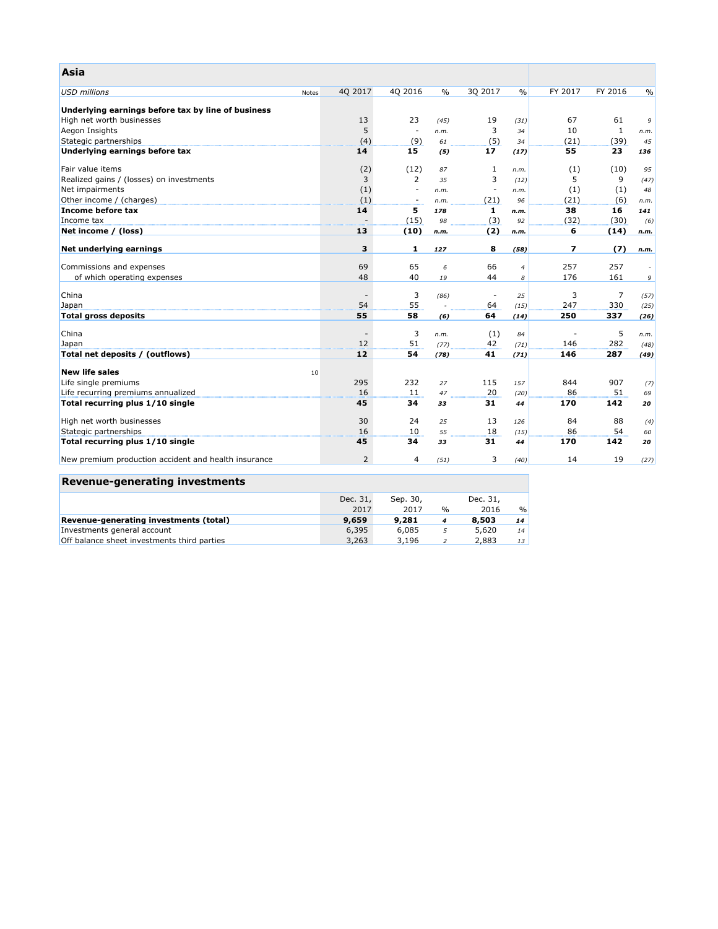| Asia                                                 |       |                          |                          |               |                          |                |                          |                |                          |
|------------------------------------------------------|-------|--------------------------|--------------------------|---------------|--------------------------|----------------|--------------------------|----------------|--------------------------|
| <b>USD millions</b>                                  | Notes | 4Q 2017                  | 4Q 2016                  | $\frac{0}{0}$ | 3Q 2017                  | $\frac{0}{0}$  | FY 2017                  | FY 2016        | $\frac{0}{0}$            |
| Underlying earnings before tax by line of business   |       |                          |                          |               |                          |                |                          |                |                          |
| High net worth businesses                            |       | 13                       | 23                       | (45)          | 19                       | (31)           | 67                       | 61             | 9                        |
| Aegon Insights                                       |       | 5                        |                          | n.m.          | 3                        | 34             | 10                       | $\mathbf{1}$   | n.m.                     |
| Stategic partnerships                                |       | (4)                      | (9)                      | 61            | (5)                      | 34             | (21)                     | (39)           | 45                       |
| Underlying earnings before tax                       |       | 14                       | 15                       | (5)           | 17                       | (17)           | 55                       | 23             | 136                      |
| Fair value items                                     |       | (2)                      | (12)                     | 87            | $\mathbf{1}$             | n.m.           | (1)                      | (10)           | 95                       |
| Realized gains / (losses) on investments             |       | 3                        | 2                        | 35            | 3                        | (12)           | 5                        | 9              | (47)                     |
| Net impairments                                      |       | (1)                      | $\overline{\phantom{a}}$ | n.m.          | $\overline{\phantom{a}}$ | n.m.           | (1)                      | (1)            | 48                       |
| Other income / (charges)                             |       | (1)                      | $\overline{\phantom{a}}$ | n.m.          | (21)                     | 96             | (21)                     | (6)            | n.m.                     |
| Income before tax                                    |       | 14                       | 5                        | 178           | $\mathbf{1}$             | n.m.           | 38                       | 16             | 141                      |
| Income tax                                           |       |                          | (15)                     | 98            | (3)                      | 92             | (32)                     | (30)           | (6)                      |
| Net income / (loss)                                  |       | 13                       | (10)                     | n.m.          | (2)                      | n.m.           | 6                        | (14)           | n.m.                     |
| Net underlying earnings                              |       | 3                        | 1                        | 127           | 8                        | (58)           | 7                        | (7)            | n.m.                     |
| Commissions and expenses                             |       | 69                       | 65                       | 6             | 66                       | $\overline{4}$ | 257                      | 257            | $\overline{\phantom{a}}$ |
| of which operating expenses                          |       | 48                       | 40                       | 19            | 44                       | 8              | 176                      | 161            | 9                        |
|                                                      |       |                          |                          |               |                          |                |                          |                |                          |
| China                                                |       | $\overline{\phantom{a}}$ | 3                        | (86)          | $\overline{\phantom{a}}$ | 25             | 3                        | $\overline{7}$ | (57)                     |
| Japan                                                |       | 54                       | 55                       |               | 64                       | (15)           | 247                      | 330            | (25)                     |
| <b>Total gross deposits</b>                          |       | 55                       | 58                       | (6)           | 64                       | (14)           | 250                      | 337            | (26)                     |
| China                                                |       | $\overline{\phantom{a}}$ | 3                        | n.m.          | (1)                      | 84             | $\overline{\phantom{a}}$ | 5              | n.m.                     |
| Japan                                                |       | 12                       | 51                       | (77)          | 42                       | (71)           | 146                      | 282            | (48)                     |
| Total net deposits / (outflows)                      |       | 12                       | 54                       | (78)          | 41                       | (71)           | 146                      | 287            | (49)                     |
| <b>New life sales</b>                                | 10    |                          |                          |               |                          |                |                          |                |                          |
| Life single premiums                                 |       | 295                      | 232                      | 27            | 115                      | 157            | 844                      | 907            | (7)                      |
| Life recurring premiums annualized                   |       | 16                       | 11                       | 47            | 20                       | (20)           | 86                       | 51             | 69                       |
| Total recurring plus 1/10 single                     |       | 45                       | 34                       | 33            | 31                       | 44             | 170                      | 142            | 20                       |
| High net worth businesses                            |       | 30                       | 24                       | 25            | 13                       | 126            | 84                       | 88             | (4)                      |
| Stategic partnerships                                |       | 16                       | 10                       | 55            | 18                       | (15)           | 86                       | 54             | 60                       |
| Total recurring plus 1/10 single                     |       | 45                       | 34                       | 33            | 31                       | 44             | 170                      | 142            | 20                       |
| New premium production accident and health insurance |       | $\overline{2}$           | 4                        | (51)          | 3                        | (40)           | 14                       | 19             | (27)                     |
| <b>Revenue-generating investments</b>                |       |                          |                          |               |                          |                |                          |                |                          |

| Dec. 31, | Sep. 30, |               | Dec. 31, |               |
|----------|----------|---------------|----------|---------------|
| 2017     | 2017     | $\frac{0}{0}$ | 2016     | $\frac{0}{0}$ |
| 9,659    | 9,281    | 4             | 8,503    | 14            |
| 6,395    | 6,085    | 5             | 5,620    | 14            |
| 3,263    | 3,196    |               | 2,883    | 13            |
|          |          |               |          |               |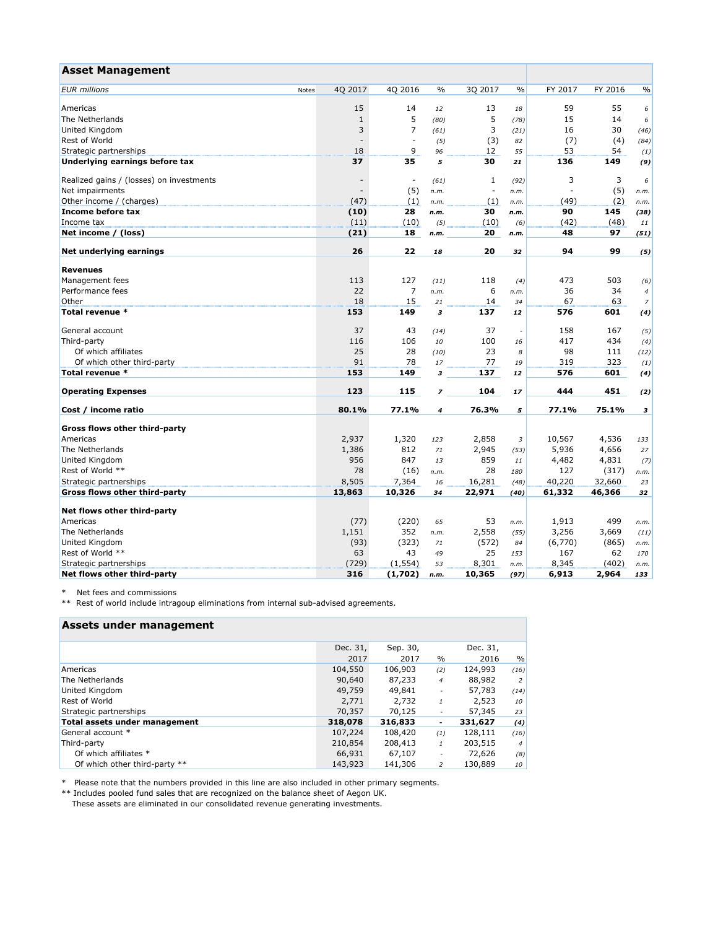| <b>Asset Management</b>                  |       |                          |                          |                |                |                          |         |         |                |
|------------------------------------------|-------|--------------------------|--------------------------|----------------|----------------|--------------------------|---------|---------|----------------|
| <b>EUR</b> millions                      | Notes | 4Q 2017                  | 4Q 2016                  | $\frac{0}{0}$  | 3Q 2017        | $\frac{0}{0}$            | FY 2017 | FY 2016 | $\%$           |
| Americas                                 |       | 15                       | 14                       | 12             | 13             | 18                       | 59      | 55      | 6              |
| The Netherlands                          |       | $\mathbf{1}$             | 5                        | (80)           | 5              | (78)                     | 15      | 14      | 6              |
| <b>United Kingdom</b>                    |       | 3                        | $\overline{7}$           | (61)           | 3              | (21)                     | 16      | 30      | (46)           |
| <b>Rest of World</b>                     |       | $\overline{\phantom{a}}$ | $\overline{a}$           | (5)            | (3)            | 82                       | (7)     | (4)     | (84)           |
| Strategic partnerships                   |       | 18                       | 9                        | 96             | 12             | 55                       | 53      | 54      | (1)            |
| Underlying earnings before tax           |       | 37                       | 35                       | 5              | 30             | 21                       | 136     | 149     | (9)            |
| Realized gains / (losses) on investments |       | $\overline{\phantom{a}}$ | $\overline{\phantom{a}}$ | (61)           | 1              | (92)                     | 3       | 3       | 6              |
| Net impairments                          |       | $\overline{\phantom{a}}$ | (5)                      | n.m.           | $\overline{a}$ | n.m.                     |         | (5)     | n.m.           |
| Other income / (charges)                 |       | (47)                     | (1)                      | n.m.           | (1)            | n.m.                     | (49)    | (2)     | n.m.           |
| Income before tax                        |       | (10)                     | 28                       | n.m.           | 30             | n.m.                     | 90      | 145     | (38)           |
| Income tax                               |       | (11)                     | (10)                     | (5)            | (10)           | (6)                      | (42)    | (48)    | $11\,$         |
| Net income / (loss)                      |       | (21)                     | 18                       | n.m.           | 20             | n.m.                     | 48      | 97      | (51)           |
| Net underlying earnings                  |       | 26                       | 22                       | 18             | 20             | 32                       | 94      | 99      | (5)            |
| <b>Revenues</b>                          |       |                          |                          |                |                |                          |         |         |                |
| Management fees                          |       | 113                      | 127                      | (11)           | 118            | (4)                      | 473     | 503     | (6)            |
| Performance fees                         |       | 22                       | 7                        | n.m.           | 6              | n.m.                     | 36      | 34      | $\overline{4}$ |
| Other                                    |       | 18                       | 15                       | 21             | 14             | 34                       | 67      | 63      | $\overline{z}$ |
| Total revenue *                          |       | 153                      | 149                      | з              | 137            | 12                       | 576     | 601     | (4)            |
| General account                          |       | 37                       | 43                       | (14)           | 37             | $\overline{\phantom{a}}$ | 158     | 167     | (5)            |
| Third-party                              |       | 116                      | 106                      | 10             | 100            | 16                       | 417     | 434     | (4)            |
| Of which affiliates                      |       | 25                       | 28                       | (10)           | 23             | 8                        | 98      | 111     | (12)           |
| Of which other third-party               |       | 91                       | 78                       | 17             | 77             | 19                       | 319     | 323     | (1)            |
| Total revenue *                          |       | 153                      | 149                      | з              | 137            | 12                       | 576     | 601     | (4)            |
| <b>Operating Expenses</b>                |       | 123                      | 115                      | $\overline{z}$ | 104            | 17                       | 444     | 451     | (2)            |
| Cost / income ratio                      |       | 80.1%                    | 77.1%                    | 4              | 76.3%          | 5                        | 77.1%   | 75.1%   | з.             |
| <b>Gross flows other third-party</b>     |       |                          |                          |                |                |                          |         |         |                |
| Americas                                 |       | 2,937                    | 1,320                    | 123            | 2,858          | 3                        | 10,567  | 4,536   | 133            |
| The Netherlands                          |       | 1,386                    | 812                      | 71             | 2,945          | (53)                     | 5,936   | 4,656   | 27             |
| United Kingdom                           |       | 956                      | 847                      | 13             | 859            | 11                       | 4,482   | 4,831   | (7)            |
| Rest of World **                         |       | 78                       | (16)                     | n.m.           | 28             | 180                      | 127     | (317)   | n.m.           |
| Strategic partnerships                   |       | 8,505                    | 7,364                    | 16             | 16,281         | (48)                     | 40,220  | 32,660  | 23             |
| Gross flows other third-party            |       | 13,863                   | 10,326                   | 34             | 22,971         | (40)                     | 61,332  | 46,366  | 32             |
| Net flows other third-party              |       |                          |                          |                |                |                          |         |         |                |
| Americas                                 |       | (77)                     | (220)                    | 65             | 53             | n.m.                     | 1,913   | 499     | n.m.           |
| The Netherlands                          |       | 1,151                    | 352                      | n.m.           | 2,558          | (55)                     | 3,256   | 3,669   | (11)           |
| United Kingdom                           |       | (93)                     | (323)                    | 71             | (572)          | 84                       | (6,770) | (865)   | n.m.           |
| Rest of World **                         |       | 63                       | 43                       | 49             | 25             | 153                      | 167     | 62      | 170            |
| Strategic partnerships                   |       | (729)                    | (1, 554)                 | 53             | 8,301          | n.m.                     | 8,345   | (402)   | n.m.           |
| Net flows other third-party              |       | 316                      | (1,702)                  | n.m.           | 10,365         | (97)                     | 6,913   | 2,964   | 133            |

\* Net fees and commissions

\*\* Rest of world include intragoup eliminations from internal sub-advised agreements.

## **Assets under management**

|                               | Dec. 31, | Sep. 30, |                          | Dec. 31, |                |
|-------------------------------|----------|----------|--------------------------|----------|----------------|
|                               | 2017     | 2017     | $\%$                     | 2016     | $\frac{0}{0}$  |
| Americas                      | 104,550  | 106,903  | (2)                      | 124,993  | (16)           |
| The Netherlands               | 90,640   | 87,233   | $\overline{4}$           | 88,982   | 2              |
| United Kingdom                | 49,759   | 49,841   | ۰                        | 57,783   | (14)           |
| Rest of World                 | 2.771    | 2,732    | 1                        | 2,523    | 10             |
| Strategic partnerships        | 70,357   | 70,125   | ٠                        | 57,345   | 23             |
| Total assets under management | 318,078  | 316,833  | $\overline{\phantom{a}}$ | 331,627  | (4)            |
| General account *             | 107,224  | 108,420  | (1)                      | 128,111  | (16)           |
| Third-party                   | 210,854  | 208,413  | $\mathbf{1}$             | 203,515  | $\overline{4}$ |
| Of which affiliates *         | 66,931   | 67,107   | ٠                        | 72,626   | (8)            |
| Of which other third-party ** | 143,923  | 141,306  | 2                        | 130,889  | 10             |

\* Please note that the numbers provided in this line are also included in other primary segments.

\*\* Includes pooled fund sales that are recognized on the balance sheet of Aegon UK.

These assets are eliminated in our consolidated revenue generating investments.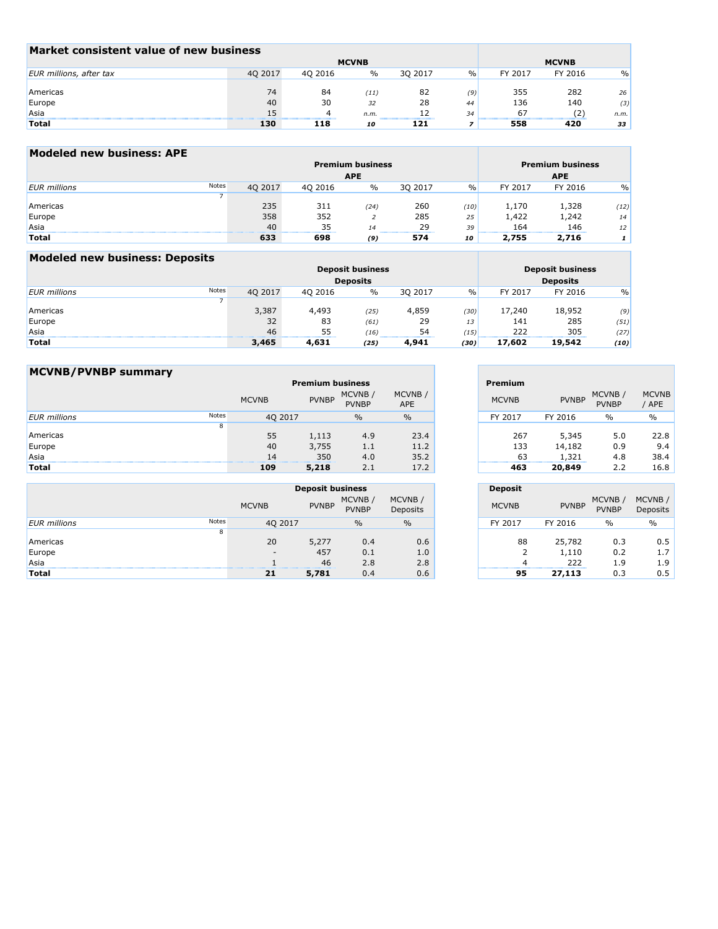| Market consistent value of new business |         |         |              |         |               |         |              |               |
|-----------------------------------------|---------|---------|--------------|---------|---------------|---------|--------------|---------------|
|                                         |         |         | <b>MCVNB</b> |         |               |         | <b>MCVNB</b> |               |
| EUR millions, after tax                 | 40 2017 | 40 2016 | $\%$         | 30 2017 | $\frac{0}{0}$ | FY 2017 | FY 2016      | $\frac{9}{0}$ |
|                                         |         |         |              |         |               |         |              |               |
| Americas                                | 74      | 84      | (11)         | 82      | (9)           | 355     | 282          | 26            |
| Europe                                  | 40      | 30      | 32           | 28      | 44            | 136     | 140          | (3)           |
| Asia                                    | 15      |         | n.m.         |         | 34            | 67      | '21          | n.m.          |
| <b>Total</b>                            | 130     | 118     | 10           | 121     |               | 558     | 420          | 33            |

| <b>Modeled new business: APE</b> |       |                         |         |               |         |               |                         |            |               |  |
|----------------------------------|-------|-------------------------|---------|---------------|---------|---------------|-------------------------|------------|---------------|--|
|                                  |       | <b>Premium business</b> |         |               |         |               | <b>Premium business</b> |            |               |  |
|                                  |       |                         |         | <b>APE</b>    |         |               |                         | <b>APE</b> |               |  |
| <b>EUR</b> millions              | Notes | 40 2017                 | 40 2016 | $\frac{0}{0}$ | 30 2017 | $\frac{0}{0}$ | FY 2017                 | FY 2016    | $\frac{0}{0}$ |  |
|                                  |       |                         |         |               |         |               |                         |            |               |  |
| Americas                         |       | 235                     | 311     | (24)          | 260     | (10)          | 1,170                   | 1,328      | (12)          |  |
| Europe                           |       | 358                     | 352     |               | 285     | 25            | 1,422                   | 1,242      | 14            |  |
| Asia                             |       | 40                      | 35      | 14            | 29      | 39            | 164                     | 146        | 12            |  |
| <b>Total</b>                     |       | 633                     | 698     | (9,           | 574     | 10            | 2,755                   | 2.716      |               |  |

| <b>Modeled new business: Deposits</b> |                         |         |                 |               |                 |      |         |                         |               |  |
|---------------------------------------|-------------------------|---------|-----------------|---------------|-----------------|------|---------|-------------------------|---------------|--|
|                                       | <b>Deposit business</b> |         |                 |               |                 |      |         | <b>Deposit business</b> |               |  |
|                                       |                         |         | <b>Deposits</b> |               | <b>Deposits</b> |      |         |                         |               |  |
| <b>EUR</b> millions                   | Notes                   | 40 2017 | 40 2016         | $\frac{0}{0}$ | 30 2017         | $\%$ | FY 2017 | FY 2016                 | $\frac{0}{0}$ |  |
|                                       |                         |         |                 |               |                 |      |         |                         |               |  |
| Americas                              |                         | 3,387   | 4,493           | (25)          | 4,859           | (30) | 17,240  | 18,952                  | (9)           |  |
| Europe                                |                         | 32      | 83              | (61)          | 29              | 13   | 141     | 285                     | (51)          |  |
| Asia                                  |                         | 46      | 55              | (16)          | 54              | (15) | 222     | 305                     | (27)          |  |
| <b>Total</b>                          |                         | 3,465   | 4,631           | (25)          | 4,941           | (30) | 17,602  | 19,542                  | (10)          |  |

| <b>MCVNB/PVNBP summary</b> |       |                         |              |                        |                      |              |              |                        |                            |
|----------------------------|-------|-------------------------|--------------|------------------------|----------------------|--------------|--------------|------------------------|----------------------------|
|                            |       | <b>Premium business</b> |              |                        | Premium              |              |              |                        |                            |
|                            |       | <b>MCVNB</b>            | <b>PVNBP</b> | MCVNB/<br><b>PVNBP</b> | MCVNB/<br><b>APE</b> | <b>MCVNB</b> | <b>PVNBP</b> | MCVNB/<br><b>PVNBP</b> | <b>MCVNE</b><br><b>APE</b> |
| <b>EUR</b> millions        | Notes | 40 2017                 |              | $\frac{0}{0}$          | $\frac{0}{0}$        | FY 2017      | FY 2016      | $\%$                   | $\frac{0}{0}$              |
|                            | 8     |                         |              |                        |                      |              |              |                        |                            |
| Americas                   |       | 55                      | 1,113        | 4.9                    | 23.4                 | 267          | 5,345        | 5.0                    | 22.8                       |
| Europe                     |       | 40                      | 3,755        | 1.1                    | 11.2                 | 133          | 14,182       | 0.9                    | 9.4                        |
| Asia                       |       | 14                      | 350          | 4.0                    | 35.2                 | 63           | 1,321        | 4.8                    | 38.4                       |
| <b>Total</b>               |       | 109                     | 5,218        | 2.1                    | 17.2                 | 463          | 20,849       | 2.2                    | 16.8                       |

|                     |       |              | <b>Deposit business</b> |                         |                   |
|---------------------|-------|--------------|-------------------------|-------------------------|-------------------|
|                     |       | <b>MCVNB</b> | <b>PVNBP</b>            | MCVNB /<br><b>PVNBP</b> | MCVNB<br>Deposits |
| <b>EUR</b> millions | Notes | 40 2017      |                         | $\frac{0}{0}$           | $\frac{0}{0}$     |
|                     | 8     |              |                         |                         |                   |
| Americas            |       | 20           | 5,277                   | 0.4                     | 0.6               |
| Europe              |       |              | 457                     | 0.1                     | 1.0               |
| Asia                |       |              | 46                      | 2.8                     | 2.8               |
| Total               |       | 21           | 5,781                   | 0.4                     | 0.6               |

|               | Premium      |              |                        |                       |
|---------------|--------------|--------------|------------------------|-----------------------|
| CVNB /<br>APE | <b>MCVNB</b> | <b>PVNBP</b> | MCVNB/<br><b>PVNBP</b> | <b>MCVNB</b><br>/ APE |
| $\frac{0}{0}$ | FY 2017      | FY 2016      | $\%$                   | $\frac{0}{0}$         |
|               |              |              |                        |                       |
| 23.4          | 267          | 5,345        | 5.0                    | 22.8                  |
| 11.2          | 133          | 14,182       | 0.9                    | 9.4                   |
| 35.2          | 63           | 1,321        | 4.8                    | 38.4                  |
| 17.2          | 463          | 20.849       | 2.2                    | 16.8                  |

|                    | <b>Deposit</b> |              |                         |                           |
|--------------------|----------------|--------------|-------------------------|---------------------------|
| MCVNB/<br>Deposits | <b>MCVNB</b>   | <b>PVNBP</b> | MCVNB /<br><b>PVNBP</b> | MCVNB/<br><b>Deposits</b> |
| $\frac{0}{0}$      | FY 2017        | FY 2016      | $\frac{0}{0}$           | $\frac{0}{0}$             |
| 0.6                | 88             | 25,782       | 0.3                     | 0.5                       |
| 1.0                | 2              | 1,110        | 0.2                     | 1.7                       |
| 2.8                | Δ              | 222          | 1.9                     | 1.9                       |
| 0.6                | 95             | 27,113       | 0.3                     | 0.5                       |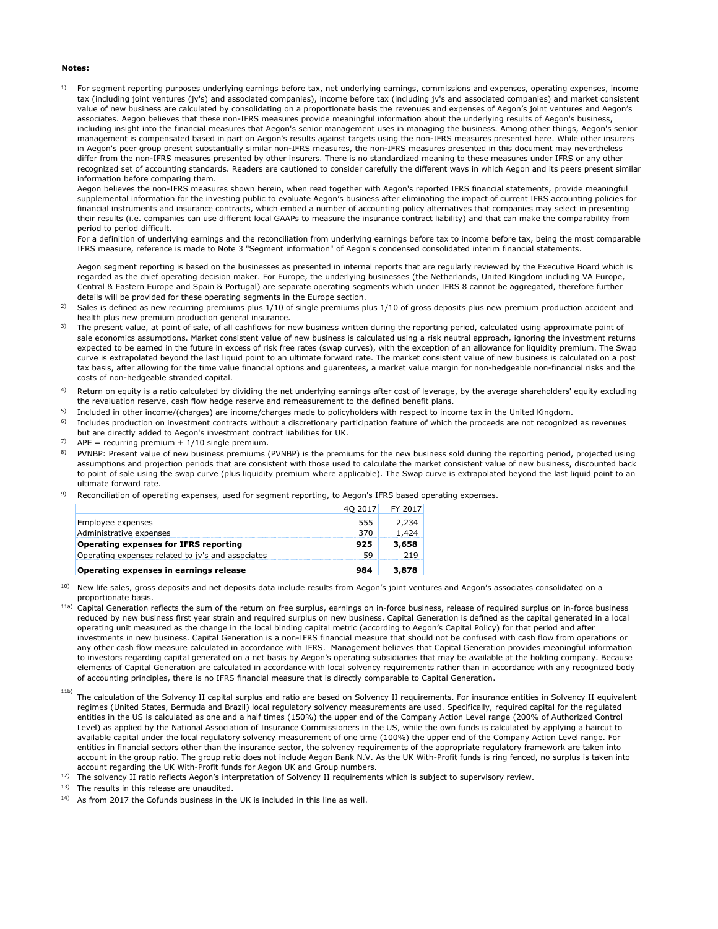### **Notes:**

1) For segment reporting purposes underlying earnings before tax, net underlying earnings, commissions and expenses, operating expenses, income tax (including joint ventures (jv's) and associated companies), income before tax (including jv's and associated companies) and market consistent value of new business are calculated by consolidating on a proportionate basis the revenues and expenses of Aegon's joint ventures and Aegon's associates. Aegon believes that these non-IFRS measures provide meaningful information about the underlying results of Aegon's business, including insight into the financial measures that Aegon's senior management uses in managing the business. Among other things, Aegon's senior management is compensated based in part on Aegon's results against targets using the non-IFRS measures presented here. While other insurers in Aegon's peer group present substantially similar non-IFRS measures, the non-IFRS measures presented in this document may nevertheless differ from the non-IFRS measures presented by other insurers. There is no standardized meaning to these measures under IFRS or any other recognized set of accounting standards. Readers are cautioned to consider carefully the different ways in which Aegon and its peers present similar information before comparing them.

Aegon believes the non-IFRS measures shown herein, when read together with Aegon's reported IFRS financial statements, provide meaningful supplemental information for the investing public to evaluate Aegon's business after eliminating the impact of current IFRS accounting policies for financial instruments and insurance contracts, which embed a number of accounting policy alternatives that companies may select in presenting their results (i.e. companies can use different local GAAPs to measure the insurance contract liability) and that can make the comparability from period to period difficult.

For a definition of underlying earnings and the reconciliation from underlying earnings before tax to income before tax, being the most comparable IFRS measure, reference is made to Note 3 "Segment information" of Aegon's condensed consolidated interim financial statements.

Aegon segment reporting is based on the businesses as presented in internal reports that are regularly reviewed by the Executive Board which is regarded as the chief operating decision maker. For Europe, the underlying businesses (the Netherlands, United Kingdom including VA Europe, Central & Eastern Europe and Spain & Portugal) are separate operating segments which under IFRS 8 cannot be aggregated, therefore further details will be provided for these operating segments in the Europe section.

- 2) Sales is defined as new recurring premiums plus 1/10 of single premiums plus 1/10 of gross deposits plus new premium production accident and health plus new premium production general insurance.
- 3) The present value, at point of sale, of all cashflows for new business written during the reporting period, calculated using approximate point of sale economics assumptions. Market consistent value of new business is calculated using a risk neutral approach, ignoring the investment returns expected to be earned in the future in excess of risk free rates (swap curves), with the exception of an allowance for liquidity premium. The Swap curve is extrapolated beyond the last liquid point to an ultimate forward rate. The market consistent value of new business is calculated on a post tax basis, after allowing for the time value financial options and guarentees, a market value margin for non-hedgeable non-financial risks and the costs of non-hedgeable stranded capital.
- 4) Return on equity is a ratio calculated by dividing the net underlying earnings after cost of leverage, by the average shareholders' equity excluding the revaluation reserve, cash flow hedge reserve and remeasurement to the defined benefit plans.
- 5) Included in other income/(charges) are income/charges made to policyholders with respect to income tax in the United Kingdom.
- 6) Includes production on investment contracts without a discretionary participation feature of which the proceeds are not recognized as revenues but are directly added to Aegon's investment contract liabilities for UK.
- 7)  $APE = recurring premium + 1/10 single premium.$
- 8) PVNBP: Present value of new business premiums (PVNBP) is the premiums for the new business sold during the reporting period, projected using assumptions and projection periods that are consistent with those used to calculate the market consistent value of new business, discounted back to point of sale using the swap curve (plus liquidity premium where applicable). The Swap curve is extrapolated beyond the last liquid point to an ultimate forward rate.
- 9) Reconciliation of operating expenses, used for segment reporting, to Aegon's IFRS based operating expenses.

| Operating expenses in earnings release            | 984     | 3,878   |
|---------------------------------------------------|---------|---------|
| Operating expenses related to jv's and associates | 59      | 219     |
| Operating expenses for IFRS reporting             | 925     | 3,658   |
| Administrative expenses                           | 370     | 1.424   |
| Employee expenses                                 | 555     | 2,234   |
|                                                   | 40 2017 | FY 2017 |

<sup>10)</sup> New life sales, gross deposits and net deposits data include results from Aegon's joint ventures and Aegon's associates consolidated on a proportionate basis.

- 11a) Capital Generation reflects the sum of the return on free surplus, earnings on in-force business, release of required surplus on in-force business reduced by new business first year strain and required surplus on new business. Capital Generation is defined as the capital generated in a local operating unit measured as the change in the local binding capital metric (according to Aegon's Capital Policy) for that period and after investments in new business. Capital Generation is a non-IFRS financial measure that should not be confused with cash flow from operations or any other cash flow measure calculated in accordance with IFRS. Management believes that Capital Generation provides meaningful information to investors regarding capital generated on a net basis by Aegon's operating subsidiaries that may be available at the holding company. Because elements of Capital Generation are calculated in accordance with local solvency requirements rather than in accordance with any recognized body of accounting principles, there is no IFRS financial measure that is directly comparable to Capital Generation.
- 11b)
- The calculation of the Solvency II capital surplus and ratio are based on Solvency II requirements. For insurance entities in Solvency II equivalent regimes (United States, Bermuda and Brazil) local regulatory solvency measurements are used. Specifically, required capital for the regulated entities in the US is calculated as one and a half times (150%) the upper end of the Company Action Level range (200% of Authorized Control Level) as applied by the National Association of Insurance Commissioners in the US, while the own funds is calculated by applying a haircut to available capital under the local regulatory solvency measurement of one time (100%) the upper end of the Company Action Level range. For entities in financial sectors other than the insurance sector, the solvency requirements of the appropriate regulatory framework are taken into account in the group ratio. The group ratio does not include Aegon Bank N.V. As the UK With-Profit funds is ring fenced, no surplus is taken into account regarding the UK With-Profit funds for Aegon UK and Group numbers.
- <sup>12)</sup> The solvency II ratio reflects Aegon's interpretation of Solvency II requirements which is subject to supervisory review.
- 13) The results in this release are unaudited.
- 14) As from 2017 the Cofunds business in the UK is included in this line as well.